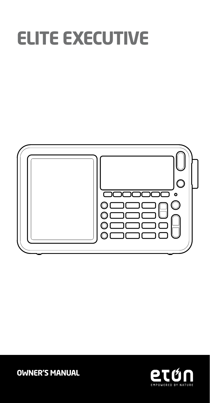# **ELITE EXECUTIVE**



**OWNER'S MANUAL**

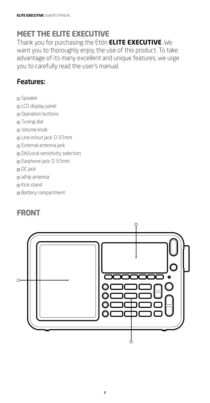# **MEET THE ELITE EXECUTIVE**

Thank you for purchasing the Etón **ELITE EXECUTIVE**. We want you to thoroughly enjoy the use of this product. To take advantage of its many excellent and unique features, we urge you to carefully read the user's manual.

#### Features:

- <sup>1</sup> Speaker
- <sup>2</sup> LCD display panel
- <sup>3</sup> Operation buttons
- 4 Tuning dial
- <sup>5</sup> Volume knob
- <sup>6</sup> Line in/out jack: D 3.5mm
- <sup>7</sup> External antenna jack
- <sup>8</sup> DX/Local sensitivity selection
- <sup>9</sup> Earphone jack: D 3.5mm
- <sup>10</sup> DC jack
- $\odot$  Whip antenna
- ® Kick stand
- <sup>®</sup> Battery compartment

# **FRONT**

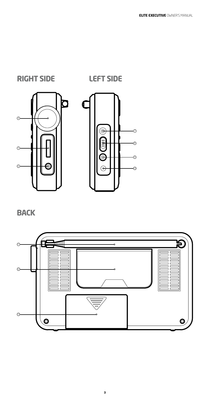**BACK**







**RIGHT SIDE LEFT SIDE**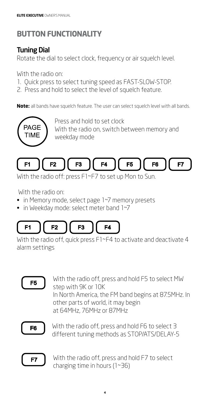# **BUTTON FUNCTIONALITY**

# Tuning Dial

Rotate the dial to select clock, frequency or air squelch level.

With the radio on:

- 1. Quick press to select tuning speed as FAST-SLOW-STOP.
- 2. Press and hold to select the level of squelch feature.

**Note:** all bands have squelch feature. The user can select squelch level with all bands.



Press and hold to set clock With the radio on, switch between memory and weekday mode



With the radio off: press F1~F7 to set up Mon to Sun.

With the radio on:

- in Memory mode, select page 1~7 memory presets
- in Weekday mode: select meter band 1~7



With the radio off, quick press F1~F4 to activate and deactivate 4 alarm settings



With the radio off, press and hold F5 to select MW step with 9K or 10K In North America, the FM band begins at 87.5MHz. In other parts of world, it may begin at 64MHz, 76MHz or 87MHz



With the radio off, press and hold F6 to select 3 different tuning methods as STOP/ATS/DELAY-5



With the radio off, press and hold F7 to select charging time in hours (1~36)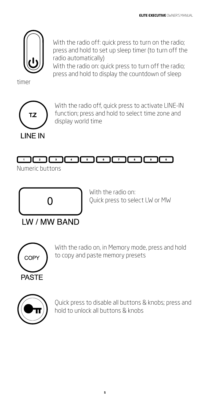

With the radio off: quick press to turn on the radio; press and hold to set up sleep timer (to turn off the radio automatically)

With the radio on: quick press to turn off the radio; press and hold to display the countdown of sleep

timer



With the radio off, quick press to activate LINE-IN function; press and hold to select time zone and display world time

#### $\begin{picture}(10,10) \put(0,0){\line(1,0){100}} \put(10,0){\line(1,0){100}} \put(10,0){\line(1,0){100}} \put(10,0){\line(1,0){100}} \put(10,0){\line(1,0){100}} \put(10,0){\line(1,0){100}} \put(10,0){\line(1,0){100}} \put(10,0){\line(1,0){100}} \put(10,0){\line(1,0){100}} \put(10,0){\line(1,0){100}} \put(10,0){\line(1,0){100}} \$ ு⊓ி  $\overline{\phantom{a}}$  $\overline{\phantom{a}}$

Numeric buttons



With the radio on: Quick press to select LW or MW



With the radio on, in Memory mode, press and hold to copy and paste memory presets



Quick press to disable all buttons & knobs; press and hold to unlock all buttons & knobs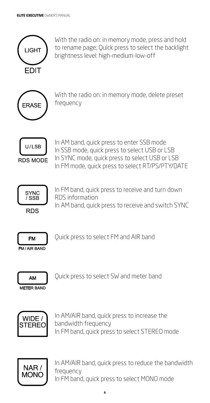

With the radio on: in memory mode, press and hold to rename page; Quick press to select the backlight brightness level: high-medium-low-off



With the radio on: in memory mode, delete preset frequency



In AM band, quick press to enter SSB mode In SSB mode, quick press to select USB or LSB In SYNC mode, quick press to select USB or LSB In FM mode, quick press to select RT/PS/PTY/DATE



In FM band, quick press to receive and turn down RDS information

In AM band, quick press to receive and switch SYNC



Quick press to select FM and AIR band

**FM/AIR BAND** 



Quick press to select SW and meter band



In AM/AIR band, quick press to increase the bandwidth frequency In FM band, quick press to select STEREO mode



In AM/AIR band, quick press to reduce the bandwidth frequency In FM band, quick press to select MONO mode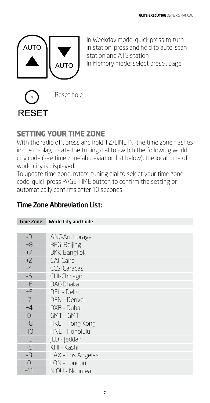

In Weekday mode: quick press to turn in station; press and hold to auto-scan station and ATS station In Memory mode: select preset page



# **SETTING YOUR TIME ZONE**

With the radio off, press and hold TZ/LINE IN, the time zone flashes in the display, rotate the tuning dial to switch the following world city code (see time zone abbreviation list below), the local time of world city is displayed.

To update time zone, rotate tuning dial to select your time zone code, quick press PAGE TIME button to confirm the setting or automatically confirms after 10 seconds.

# Time Zone Abbreviation List:

| <b>Time Zone</b> | <b>World City and Code</b> |
|------------------|----------------------------|
|                  |                            |
| $-9$             | ANC-Anchorage              |
| $+8$             | <b>BEG-Beijing</b>         |
| $+7$             | <b>BKK-Bangkok</b>         |
| $+2$             | CAI-Cairo                  |
| $-4$             | <b>CCS-Caracas</b>         |
| $-6$             | CHI-Chicago                |
| $+6$             | DAC-Dhaka                  |
| $+5$             | DEL - Delhi                |
| $-7$             | <b>DEN - Denver</b>        |
| $+4$             | DXB - Dubai                |
| $\bigcap$        | GMT - GMT                  |
| $+8$             | HKG - Hong Kong            |
| $-10$            | HNL - Honolulu             |
| $+3$             | IED - leddah               |
| $+5$             | KHI - Kashi                |
| -8               | LAX - Los Angeles          |
| ∩                | LON - London               |
| $+11$            | N OU - Noumea              |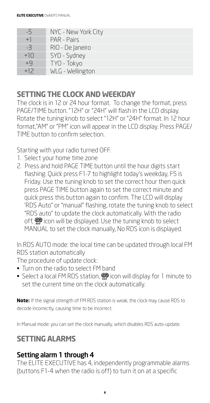| $-5$  | NYC - New York City |
|-------|---------------------|
| $+1$  | PAR - Pairs         |
| $-3$  | RIO - De Janeiro    |
| $+10$ | SYD - Sydney        |
| $+9$  | TYO - Tokyo         |
| $+12$ | WLG - Wellington    |

#### **SETTING THE CLOCK AND WEEKDAY**

The clock is in 12 or 24 hour format. To change the format, press PAGE/TIME button. "12H" or "24H" will flash in the LCD display. Rotate the tuning knob to select "12H" or "24H" format. In 12 hour format,"AM" or "PM" icon will appear in the LCD display. Press PAGE/ TIME button to confirm selection.

Starting with your radio turned OFF.

- 1. Select your home time zone
- 2. Press and hold PAGE TIME button until the hour digits start flashing. Quick press F1-7 to highlight today's weekday, F5 is Friday. Use the tuning knob to set the correct hour then quick press PAGE TIME button again to set the correct minute and quick press this button again to confirm. The LCD will display 'RDS Auto" or "manual" flashing, rotate the tuning knob to select "RDS auto" to update the clock automatically. With the radio off,  $\mathcal{P}$  icon will be displayed. Use the tuning knob to select MANUAL to set the clock manually, No RDS icon is displayed.

In RDS AUTO mode: the local time can be updated through local FM RDS station automatically

The procedure of update clock:

- Turn on the radio to select FM band
- Select a local FM RDS station,  $\mathcal{P}$  icon will display for 1 minute to set the current time on the clock automatically.

**Note:** If the signal strength of FM RDS station is weak, the clock may cause RDS to decode incorrectly, causing time to be incorrect.

In Manual mode: you can set the clock manually, which disables RDS auto-update.

# **SETTING ALARMS**

# Setting alarm 1 through 4

The ELITE EXECUTIVE has 4, independently programmable alarms (buttons F1-4 when the radio is off) to turn it on at a specific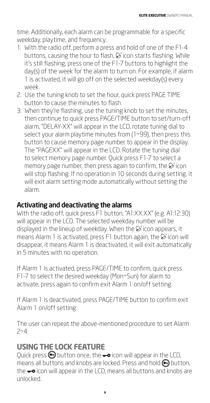time. Additionally, each alarm can be programmable for a specific weekday, playtime, and frequency.

- 1. With the radio off, perform a press and hold of one of the F1-4 buttons, causing the hour to flash,  $\mathcal{B}$  icon starts flashing. While it's still flashing, press one of the F1-7 buttons to highlight the day(s) of the week for the alarm to turn on. For example, if alarm 1 is activated, it will go off on the selected weekday(s) every week.
- 2. Use the tuning knob to set the hour, quick press PAGE TIME button to cause the minutes to flash.
- 3. When they're flashing, use the tuning knob to set the minutes, then continue to quick press PAGE/TIME button to set/turn-off alarm, "DELAY-XX" will appear in the LCD, rotate tuning dial to select your alarm playtime minutes from (1~99), then press this button to cause memory page number to appear in the display. The "PAGEXX" will appear in the LCD. Rotate the tuning dial to select memory page number. Quick press F1-7 to select a memory page number, then press again to confirm, the  $\mathcal{B}$  icon will stop flashing. If no operation in 10 seconds during setting, it will exit alarm setting mode automatically without setting the alarm.

#### Activating and deactivating the alarms

With the radio off, quick press F1 button, "A1:XX:XX" (e.g. A1:12:30) will appear in the LCD. The selected weekday number will be displayed in the lineup of weekday. When the  $\breve{\bowtie}$  icon appears, it means Alarm 1 is activated, press F1 button again, the  $\mathcal{D}$  icon will disappear, it means Alarm 1 is deactivated, it will exit automatically in 5 minutes with no operation.

If Alarm 1 is activated, press PAGE/TIME to confirm, quick press F1-7 to select the desired weekday (Mon~Sun) for alarm to activate, press again to confirm exit Alarm 1 on/off setting.

If Alarm 1 is deactivated, press PAGE/TIME button to confirm exit Alarm 1 on/off setting.

The user can repeat the above-mentioned procedure to set Alarm  $7 - 4$ .

#### **USING THE LOCK FEATURE**

Quick press  $\bigcirc$  button once, the  $\bigcirc$  icon will appear in the LCD, means all buttons and knobs are locked. Press and hold  $\bigcirc$  button, the  $\div \circ$  icon will appear in the LCD, means all buttons and knobs are unlocked.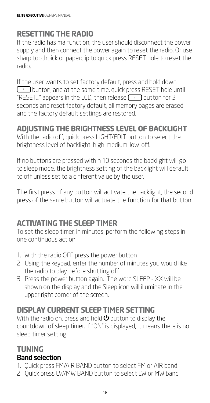# **RESETTING THE RADIO**

If the radio has malfunction, the user should disconnect the power supply and then connect the power again to reset the radio. Or use sharp toothpick or paperclip to quick press RESET hole to reset the radio.

If the user wants to set factory default, press and hold down  $\Box$  button, and at the same time, quick press RESET hole until "RESET..." appears in the LCD, then release  $\Box$  button for 3 seconds and reset factory default, all memory pages are erased and the factory default settings are restored.

# **ADJUSTING THE BRIGHTNESS LEVEL OF BACKLIGHT**

With the radio off, quick press LIGHT/EDIT button to select the brightness level of backlight: high-medium-low-off.

If no buttons are pressed within 10 seconds the backlight will go to sleep mode, the brightness setting of the backlight will default to off unless set to a different value by the user.

The first press of any button will activate the backlight, the second press of the same button will actuate the function for that button.

# **ACTIVATING THE SLEEP TIMER**

To set the sleep timer, in minutes, perform the following steps in one continuous action.

- 1. With the radio OFF press the power button
- 2. Using the keypad, enter the number of minutes you would like the radio to play before shutting off
- 3. Press the power button again. The word SLEEP XX will be shown on the display and the Sleep icon will illuminate in the upper right corner of the screen.

# **DISPLAY CURRENT SLEEP TIMER SETTING**

With the radio on, press and hold  $\bigcirc$  button to display the countdown of sleep timer. If "ON" is displayed, it means there is no sleep timer setting.

#### **TUNING** Band selection

- 1. Quick press FM/AIR BAND button to select FM or AIR band
- 2. Quick press LW/MW BAND button to select LW or MW band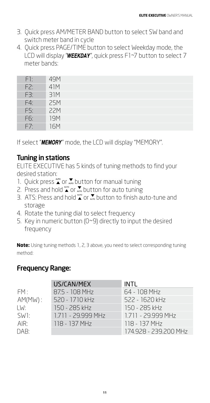- 3. Quick press AM/METER BAND button to select SW band and switch meter band in cycle
- 4. Quick press PAGE/TIME button to select Weekday mode, the LCD will display " $WEEKDAY''$ , quick press F1~7 button to select 7 meter bands:

| F1: | 49M        |
|-----|------------|
| F2: | 41M        |
| F3: | 31M        |
| F4: | <b>25M</b> |
| F5: | <b>22M</b> |
| F6: | <b>19M</b> |
| F7: | <b>16M</b> |

If select "**MEMORY**" mode, the LCD will display "MEMORY".

#### Tuning in stations

ELITE EXECUTIVE has 5 kinds of tuning methods to find your desired station:

- 1. Quick press  $\sum_{n=0}^{\infty}$  or  $\sum_{n=0}^{\infty}$  button for manual tuning
- 2. Press and hold  $\sum_{n=0}^{\infty}$  or  $\sum_{n=0}^{\infty}$  button for auto tuning
- 3. ATS: Press and hold  $\sum_{n=0}^{\infty}$  or  $\sum_{n=0}^{\infty}$  button to finish auto-tune and storage
- 4. Rotate the tuning dial to select frequency
- 5. Key in numeric button (0~9) directly to input the desired frequency

**Note:** Using tuning methods 1, 2, 3 above, you need to select corresponding tuning method:

#### Frequency Range:

|                   | US/CAN/MEX         | <b>INTL</b>           |
|-------------------|--------------------|-----------------------|
| FM:               | 87.5 - 108 MHz     | 64 - 108 MHz          |
| $AM(MW)$ :        | 520 - 1710 kHz     | 522 - 1620 kHz        |
| LW:               | 150 - 285 kHz      | 150 - 285 kHz         |
| SW <sub>1</sub> : | 1.711 - 29.999 MHz | 1.711 - 29.999 MHz    |
| AIR:              | 118 - 137 MHz      | 118 - 137 MHz         |
| DAB:              |                    | 174.928 - 239.200 MHz |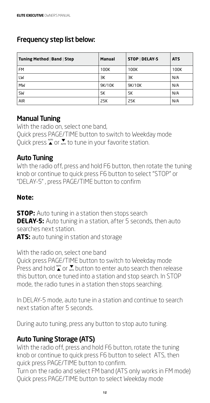#### Frequency step list below:

| Tuning Method   Band   Step | Manual | STOP   DELAY-5 | <b>ATS</b> |
|-----------------------------|--------|----------------|------------|
| <b>FM</b>                   | 100K   | 100K           | 100K       |
| LW                          | ЗK     | ЗΚ             | N/A        |
| MW                          | 9K/10K | 9K/10K         | N/A        |
| SW                          | 5K     | 5K             | N/A        |
| <b>AIR</b>                  | 25K    | 25K            | N/A        |

#### Manual Tuning

With the radio on, select one band, Quick press PAGE/TIME button to switch to Weekday mode Quick press  $\sum_{n=0}^{\infty}$  or  $\sum_{n=0}^{\infty}$  to tune in your favorite station.

#### Auto Tuning

Wth the radio off, press and hold F6 button, then rotate the tuning knob or continue to quick press F6 button to select "STOP" or "DELAY-5" , press PAGE/TIME button to confirm

#### **Note:**

**STOP:** Auto tuning in a station then stops search **DELAY-5:** Auto tuning in a station, after 5 seconds, then auto searches next station.

**ATS:** auto tuning in station and storage

With the radio on, select one band Quick press PAGE/TIME button to switch to Weekday mode Press and hold  $\sum_{n=0}^{\infty}$  or  $\sum_{n=0}^{\infty}$  button to enter auto search then release this button, once tuned into a station and stop search. In STOP mode, the radio tunes in a station then stops searching.

In DELAY-5 mode, auto tune in a station and continue to search next station after 5 seconds.

During auto tuning, press any button to stop auto tuning.

#### Auto Tuning Storage (ATS)

With the radio off, press and hold F6 button, rotate the tuning knob or continue to quick press F6 button to select ATS, then quick press PAGE/TIME button to confirm.

Turn on the radio and select FM band (ATS only works in FM mode) Quick press PAGE/TIME button to select Weekday mode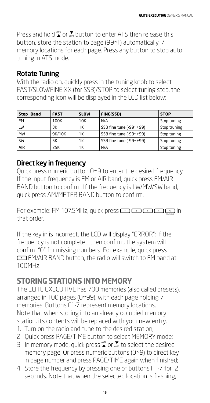Press and hold  $\sum_{n=0}^{\infty}$  or  $\sum_{n=0}^{\infty}$  button to enter ATS then release this button, store the station to page (99~1) automatically, 7 memory locations for each page. Press any button to stop auto tuning in ATS mode.

#### Rotate Tuning

With the radio on, quickly press in the tuning knob to select FAST/SLOW/FINE:XX (for SSB)/STOP to select tuning step, the corresponding icon will be displayed in the LCD list below:

| Step   Band | <b>FAST</b> | <b>SLOW</b> | FINE(SSB)               | <b>STOP</b>  |
|-------------|-------------|-------------|-------------------------|--------------|
| <b>FM</b>   | 100K        | 10K         | N/A                     | Stop tuning  |
| LW          | ЗК          | 1Κ          | SSB fine tune (-99~+99) | Stop truning |
| MW          | 9K/10K      | 1Κ          | SSB fine tune (-99~+99) | Stop tuning  |
| SW          | 5K          | 1Κ          | SSB fine tune (-99~+99) | Stop tuning  |
| <b>AIR</b>  | 25K         | 1K          | N/A                     | Stop tuning  |

#### Direct key in frequency

Quick press numeric button 0~9 to enter the desired frequency If the input frequency is FM or AIR band, quick press FM/AIR BAND button to confirm. If the frequency is LW/MW/SW band, quick press AM/METER BAND button to confirm.

For example: FM 107.5MHz, quick press **in the CO CO CO**  $\frac{m}{n}$  in that order.

If the key in is incorrect, the LCD will display "ERROR"; If the frequency is not completed then confirm, the system will confirm "0" for missing numbers. For example, quick press FM/AIR BAND button, the radio will switch to FM band at 100MHz.

# **STORING STATIONS INTO MEMORY**

The ELITE EXECUTIVE has 700 memories (also called presets), arranged in 100 pages (0~99), with each page holding 7 memories. Buttons F1-7 represent memory locations. Note that when storing into an already occupied memory station, its contents will be replaced with your new entry.

- 1. Turn on the radio and tune to the desired station;
- 2. Quick press PAGE/TIME button to select MEMORY mode;
- 3. In memory mode, quick press  $\sum_{n=0}^{\infty}$  or  $\sum_{n=0}^{\infty}$  to select the desired memory page; Or press numeric buttons (0~9) to direct key in page number and press PAGE/TIME again when finished;
- 4. Store the frequency by pressing one of buttons F1-7 for 2 seconds. Note that when the selected location is flashing,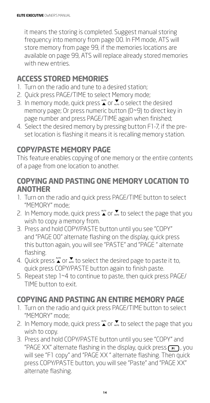it means the storing is completed. Suggest manual storing frequency into memory from page 00. In FM mode, ATS will store memory from page 99, if the memories locations are available on page 99, ATS will replace already stored memories with new entries.

# **ACCESS STORED MEMORIES**

- 1. Turn on the radio and tune to a desired station;
- 2. Quick press PAGE/TIME to select Memory mode;
- 3. In memory mode, quick press  $\sum_{n=0}^{\infty}$  or  $\sum_{n=0}^{\infty}$  o select the desired memory page; Or press numeric button (0~9) to direct key in page number and press PAGE/TIME again when finished;
- 4. Select the desired memory by pressing button F1-7, if the preset location is flashing it means it is recalling memory station.

#### **COPY/PASTE MEMORY PAGE**

This feature enables copying of one memory or the entire contents of a page from one location to another.

#### **COPYING AND PASTING ONE MEMORY LOCATION TO ANOTHER**

- 1. Turn on the radio and quick press PAGE/TIME button to select "MEMORY" mode;
- 2. In Memory mode, quick press  $\sum_{n=0}^{\infty}$  or  $\sum_{n=0}^{\infty}$  to select the page that you wish to copy a memory from.
- 3. Press and hold COPY/PASTE button until you see "COPY" and "PAGE 00" alternate flashing on the display, quick press this button again, you will see "PASTE" and "PAGE " alternate flashing.
- 4. Quick press  $\sum_{n=0}^{\infty}$  or  $\sum_{n=0}^{\infty}$  to select the desired page to paste it to, quick press COPY/PASTE button again to finish paste.
- 5. Repeat step 1~4 to continue to paste, then quick press PAGE/ TIME button to exit.

# **COPYING AND PASTING AN ENTIRE MEMORY PAGE**

- 1. Turn on the radio and quick press PAGE/TIME button to select "MEMORY" mode;
- 2. In Memory mode, quick press  $\sum_{n=0}^{\infty}$  or  $\sum_{n=0}^{\infty}$  to select the page that you wish to copy.
- 3. Press and hold COPY/PASTE button until you see "COPY" and "PAGE XX" alternate flashing in the display, quick press  $\left[\begin{array}{c} \text{F1} \end{array}\right]$ , you will see "F1 copy" and "PAGE XX" alternate flashing. Then quick press COPY/PASTE button, you will see "Paste" and "PAGE XX" alternate flashing.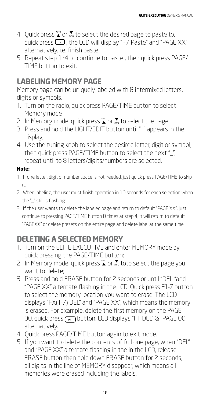- 4. Quick press  $\sum_{n=0}^{\infty}$  or  $\sum_{n=0}^{\infty}$  to select the desired page to paste to, quick press  $\Box$ , the LCD will display "F7 Paste" and "PAGE XX" alternatively. i.e. finish paste
- 5. Repeat step 1~4 to continue to paste , then quick press PAGE/ TIME button to exit.

# **LABELING MEMORY PAGE**

Memory page can be uniquely labeled with 8 intermixed letters, digits or symbols.

- 1. Turn on the radio, quick press PAGE/TIME button to select Memory mode
- 2. In Memory mode, quick press  $\sum_{n=0}^{\infty}$  or  $\sum_{n=0}^{\infty}$  to select the page.
- 3. Press and hold the LIGHT/EDIT button until "\_" appears in the display;
- 4. Use the tuning knob to select the desired letter, digit or symbol, then quick press PAGE/TIME button to select the next "\_", repeat until to 8 letters/digits/numbers are selected.

#### **Note:**

- 1. If one letter, digit or number space is not needed, just quick press PAGE/TIME to skip it.
- 2. When labeling, the user must finish operation in 10 seconds for each selection when the "\_" still is flashing;
- 3. If the user wants to delete the labeled page and return to default "PAGE XX", just continue to pressing PAGE/TIME button 8 times at step 4, it will return to default "PAGEXX" or delete presets on the entire page and delete label at the same time.

# **DELETING A SELECTED MEMORY**

- 1. Turn on the ELITE EXECUTIVE and enter MEMORY mode by quick pressing the PAGE/TIME button;
- 2. In Memory mode, quick press  $\sum_{n=0}^{\infty}$  or  $\sum_{n=0}^{\infty}$  toto select the page you want to delete;
- 3. Press and hold ERASE button for 2 seconds or until "DEL "and "PAGE XX" alternate flashing in the LCD. Quick press F1-7 button to select the memory location you want to erase. The LCD displays "FX(1-7) DEL" and "PAGE XX", which means the memory is erased. For example, delete the first memory on the PAGE 00, quick press (F1) button, LCD displays "F1 DEL" & "PAGE 00" alternatively.
- 4. Quick press PAGE/TIME button again to exit mode.
- 5. If you want to delete the contents of full one page, when "DEL" and "PAGE XX" alternate flashing in the in the LCD, release ERASE button then hold down ERASE button for 2 seconds, all digits in the line of MEMORY disappear, which means all memories were erased including the labels.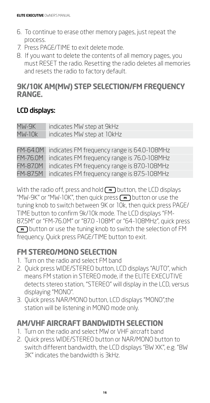- 6. To continue to erase other memory pages, just repeat the process.
- 7. Press PAGE/TIME to exit delete mode.
- 8. If you want to delete the contents of all memory pages, you must RESET the radio. Resetting the radio deletes all memories and resets the radio to factory default.

#### **9K/10K AM(MW) STEP SELECTION/FM FREQUENCY RANGE.**

#### LCD displays:

| MW-9K           | indicates MW step at 9kHz                   |
|-----------------|---------------------------------------------|
| $MW-10k$        | indicates MW step at 10kHz                  |
|                 |                                             |
| FM-64.0M        | indicates FM frequency range is 64.0-108MHz |
| <b>FM-76.0M</b> | indicates FM frequency range is 76.0-108MHz |
| <b>FM-87.0M</b> | indicates FM frequency range is 87.0-108MHz |
| FM-87.5M        | indicates FM frequency range is 87.5-108MHz |

With the radio off, press and hold button, the LCD displays "MW-9K" or "MW-10K", then quick press  $\left(\frac{1}{2}n\right)$  button or use the tuning knob to switch between 9K or 10k, then quick press PAGE/ TIME button to confirm 9k/10k mode. The LCD displays "FM-87,5M" or "FM-76.0M" or "87.0 -108M" or "64-108MHz", quick press button or use the tuning knob to switch the selection of FM frequency. Quick press PAGE/TIME button to exit.

# **FM STEREO/MONO SELECTION**

- 1. Turn on the radio and select FM band
- 2. Quick press WIDE/STEREO button, LCD displays "AUTO", which means FM station in STEREO mode, if the ELITE EXECUTIVE detects stereo station, "STEREO" will display in the LCD, versus displaying "MONO".
- 3. Quick press NAR/MONO button, LCD displays "MONO",the station will be listening in MONO mode only.

# **AM/VHF AIRCRAFT BANDWIDTH SELECTION**

- 1. Turn on the radio and select MW or VHF aircraft band
- 2. Quick press WIDE/STEREO button or NAR/MONO button to switch different bandwidth, the LCD displays "BW XK", e.g. "BW 3K" indicates the bandwidth is 3kHz.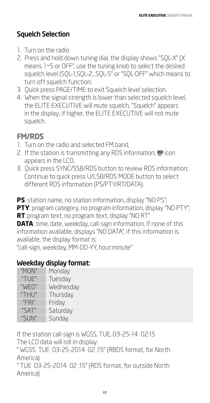# Squelch Selection

- 1. Turn on the radio
- 2. Press and hold down tuning dial, the display shows "SQL-X" (X means 1~5 or OFF", use the tuning knob to select the desired squelch level (SQL-1,SQL-2,..SQL-5" or "SQL-OFF" which means to turn off squelch function;
- 3. Quick press PAGE/TIME to exit Squelch level selection.
- 4. When the signal strength is lower than selected squelch level, the ELITE EXECUTIVE will mute squelch, "Squelch" appears in the display; if higher, the ELITE EXECUTIVE will not mute squelch.

# **FM/RDS**

- 1. Turn on the radio and selected FM band;
- 2. If the station is transmitting any RDS information,  $\mathcal{P}$  icon appears in the LCD,
- 3. Quick press SYNC/SSB/RDS button to review RDS information; Continue to quick press U/LSB/RDS MODE button to select different RDS information (PS/PTY/RT/DATA).

**PS**: station name, no station information, display "NO PS"; **PTY**: program category, no program information, display "NO PTY"; **RT**: program text, no program text, display "NO RT" **DATA**: time, date, weekday, call-sign information, if none of this information available, displays "NO DATA", if this information is available, the display format is: "call-sign, weekday, MM-DD-YY, hour:minute"

# Weekday display format:

| "MON"                     | Monday    |
|---------------------------|-----------|
| "TUE"                     | Tuesday   |
| "WED"                     | Wednesday |
| "THU"                     | Thursday  |
| "FR"                      | Friday    |
| "SAT"                     | Saturday  |
| " $\leq$   $\mathbb{N}$ " | Sunday    |

If the station call-sign is WGSS, TUE, 03-25-14 02:15 The LCD data will roll in display:

" WGSS TUE 03-25-2014 02 :15" (RBDS format, for North America)

" TUE 03-25-2014 02 :15" (RDS format, for outside North America)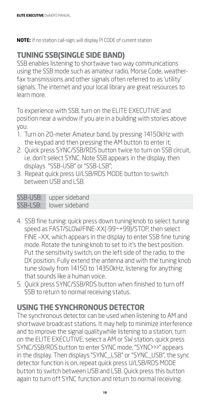**NOTE:** if no station call-sign, will display PI CODE of current station

# **TUNING SSB(SINGLE SIDE BAND)**

SSB enables listening to shortwave two way communications using the SSB mode such as amateur radio, Morse Code, weatherfax transmissions and other signals often referred to as 'utility' signals. The internet and your local library are great resources to learn more.

To experience with SSB, turn on the ELITE EXECUTIVE and position near a window if you are in a building with stories above you.

- 1. Turn on 20-meter Amateur band, by pressing 14150kHz with the keypad and then pressing the AM button to enter it;
- 2. Quick press SYNC/SSB/RDS button twice to turn on SSB circuit, i.e. don't select SYNC. Note SSB appears in the display, then displays "SSB-USB" or "SSB-LSB";
- 3. Repeat quick press U/LSB/RDS MODE button to switch between USB and LSB.

| SSB-USB: | upper sideband |
|----------|----------------|
| SSB-LSB: | lower sideband |

- 4. SSB fine tuning: quick press down tuning knob to select tuning speed as FAST/SLOW/FINE-XX(-99~+99)/STOP, then select FINE –XX, which appears in the display to enter SSB fine tuning mode. Rotate the tuning knob to set to it's the best position. Put the sensitivity switch, on the left side of the radio, to the DX position. Fully extend the antenna and with the tuning knob tune slowly from 14150 to 14350kHz, listening for anything that sounds like a human voice.
- 5. Quick press SYNC/SSB/RDS button when finished to turn off SSB to return to normal receiving status.

# **USING THE SYNCHRONOUS DETECTOR**

The synchronous detector can be used when listening to AM and shortwave broadcast stations. It may help to minimize interference and to improve the signal qualitywhile listening to a station, turn on the ELITE EXECUTIVE, select a AM or SW station, quick press SYNC/SSB/RDS button to enter SYNC mode, "SYNC>>>" appears in the display. Then displays "SYNC\_LSB" or "SYNC\_USB", the sync detector function is on, repeat quick press U/LSB/RDS MODE button to switch between USB and LSB. Quick press this button again to turn off SYNC function and return to normal receiving.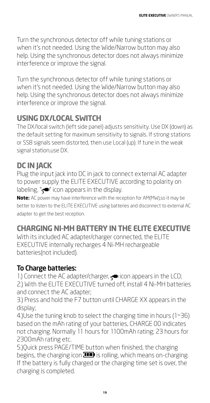Turn the synchronous detector off while tuning stations or when it's not needed. Using the Wide/Narrow button may also help. Using the synchronous detector does not always minimize interference or improve the signal.

Turn the synchronous detector off while tuning stations or when it's not needed. Using the Wide/Narrow button may also help. Using the synchronous detector does not always minimize interference or improve the signal.

# **USING DX/LOCAL SWITCH**

The DX/local switch (left side panel) adjusts sensitivity. Use DX (down) as the default setting for maximum sensitivity to signals. If strong stations or SSB signals seem distorted, then use Local (up). If tune in the weak signal station,use DX.

# **DC IN JACK**

Plug the input jack into DC in jack to connect external AC adapter to power supply the ELITE EXECUTIVE according to polarity on labeling, " $\leftarrow$ " icon appears in the display.

**Note:** AC power may have interference with the reception for AM(MW),so it may be better to listen to the ELITE EXECUTIVE using batteries and disconnect to external AC adapter to get the best reception.

# **CHARGING NI-MH BATTERY IN THE ELITE EXECUTIVE**

With its included AC adapter/charger connected, the ELITE EXECUTIVE internally recharges 4 Ni-MH rechargeable batteries(not included).

# To Charge batteries:

1.) Connect the AC adapter/charger,  $\leq$  icon appears in the LCD; 2.) With the ELITE EXECUTIVE turned off, install 4 Ni-MH batteries and connect the AC adapter;

3.) Press and hold the F7 button until CHARGE XX appears in the display;

4.)Use the tuning knob to select the charging time in hours (1~36) based on the mAh rating of your batteries, CHARGE 00 indicates not charging. Normally 11 hours for 1100mAh rating; 23 hours for 2300mAh rating etc.

5.)Quick press PAGE/TIME button when finished, the charging begins, the charging icon  $\Box$  is rolling, which means on-charging. If the battery is fully charged or the charging time set is over, the charging is completed.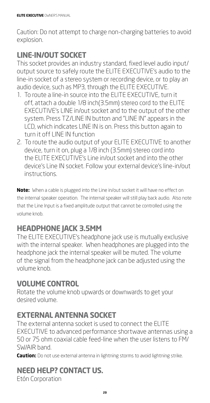Caution: Do not attempt to charge non-charging batteries to avoid explosion.

# **LINE-IN/OUT SOCKET**

This socket provides an industry standard, fixed level audio input/ output source to safely route the ELITE EXECUTIVE's audio to the line-in socket of a stereo system or recording device, or to play an audio device, such as MP3, through the ELITE EXECUTIVE.

- 1. To route a line-in source into the ELITE EXECUTIVE, turn it off, attach a double 1/8 inch(3.5mm) stereo cord to the ELITE EXECUTIVE's LINE in/out socket and to the output of the other system. Press TZ/LINE IN button and "LINE IN" appears in the LCD, which indicates LINE IN is on. Press this button again to turn it off LINE IN function
- 2. To route the audio output of your ELITE EXECUTIVE to another device, turn it on, plug a 1/8 inch (3.5mm) stereo cord into the ELITE EXECUTIVE's Line in/out socket and into the other device's Line IN socket. Follow your external device's line-in/out instructions.

**Note:** When a cable is plugged into the Line in/out socket it will have no effect on the internal speaker operation. The internal speaker will still play back audio. Also note that the Line Input is a fixed amplitude output that cannot be controlled using the volume knob.

# **HEADPHONE JACK 3.5MM**

The ELITE EXECUTIVE's headphone jack use is mutually exclusive with the internal speaker. When headphones are plugged into the headphone jack the internal speaker will be muted. The volume of the signal from the headphone jack can be adjusted using the volume knob.

# **VOLUME CONTROL**

Rotate the volume knob upwards or downwards to get your desired volume.

# **EXTERNAL ANTENNA SOCKET**

The external antenna socket is used to connect the ELITE EXECUTIVE to advanced performance shortwave antennas using a 50 or 75 ohm coaxial cable feed-line when the user listens to FM/ SW/AIR band.

**Caution:** Do not use external antenna in lightning storms to avoid lightning strike.

# **NEED HELP? CONTACT US.**

Etón Corporation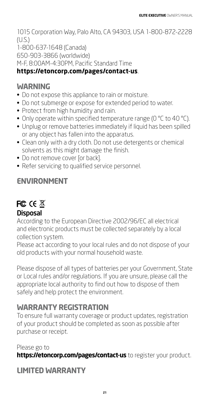1015 Corporation Way, Palo Alto, CA 94303, USA 1-800-872-2228 (U.S.) 1-800-637-1648 (Canada) 650-903-3866 (worldwide) M-F, 8:00AM-4:30PM, Pacific Standard Time

#### **https://etoncorp.com/pages/contact-us**.

#### **WARNING**

- Do not expose this appliance to rain or moisture.
- Do not submerge or expose for extended period to water.
- Protect from high humidity and rain.
- Only operate within specified temperature range (0 °C to 40 °C).
- Unplug or remove batteries immediately if liquid has been spilled or any object has fallen into the apparatus.
- Clean only with a dry cloth. Do not use detergents or chemical solvents as this might damage the finish.
- Do not remove cover [or back].
- Refer servicing to qualified service personnel.

#### **ENVIRONMENT**

#### **FC CE 区 Disposal**

According to the European Directive 2002/96/EC all electrical and electronic products must be collected separately by a local collection system.

Please act according to your local rules and do not dispose of your old products with your normal household waste.

Please dispose of all types of batteries per your Government, State or Local rules and/or regulations. If you are unsure, please call the appropriate local authority to find out how to dispose of them safely and help protect the environment.

#### **WARRANTY REGISTRATION**

To ensure full warranty coverage or product updates, registration of your product should be completed as soon as possible after purchase or receipt.

Please go to **https://etoncorp.com/pages/contact-us** to register your product.

# **LIMITED WARRANTY**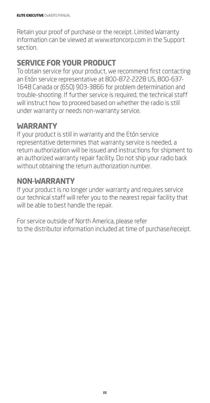Retain your proof of purchase or the receipt. Limited Warranty information can be viewed at www.etoncorp.com in the Support section.

# **SERVICE FOR YOUR PRODUCT**

To obtain service for your product, we recommend first contacting an Etón service representative at 800-872-2228 US, 800-637- 1648 Canada or (650) 903-3866 for problem determination and trouble-shooting. If further service is required, the technical staff will instruct how to proceed based on whether the radio is still under warranty or needs non-warranty service.

#### **WARRANTY**

If your product is still in warranty and the Etón service representative determines that warranty service is needed, a return authorization will be issued and instructions for shipment to an authorized warranty repair facility. Do not ship your radio back without obtaining the return authorization number.

#### **NON-WARRANTY**

If your product is no longer under warranty and requires service our technical staff will refer you to the nearest repair facility that will be able to best handle the repair.

For service outside of North America, please refer to the distributor information included at time of purchase/receipt.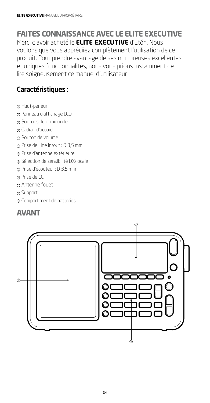#### **FAITES CONNAISSANCE AVEC LE ELITE EXECUTIVE** Merci d'avoir acheté le **ELITE EXECUTIVE** d'Etón. Nous

voulons que vous appréciiez complètement l'utilisation de ce produit. Pour prendre avantage de ses nombreuses excellentes et uniques fonctionnalités, nous vous prions instamment de lire soigneusement ce manuel d'utilisateur.

#### Caractéristiques :

- <sup>1</sup> Haut-parleur
- <sup>2</sup> Panneau d'affichage LCD
- <sup>3</sup> Boutons de commande
- 4 Cadran d'accord
- <sup>5</sup> Bouton de volume
- <sup>6</sup> Prise de Line in/out : D 3,5 mm
- <sup>7</sup> Prise d'antenne extérieure
- <sup>8</sup> Sélection de sensibilité DX/locale
- <sup>9</sup> Prise d'écouteur : D 3,5 mm
- <sup>10</sup> Prise de CC
- $0$  Antenne fouet
- 12 Support
- <sup>13</sup> Compartiment de batteries

# **AVANT**

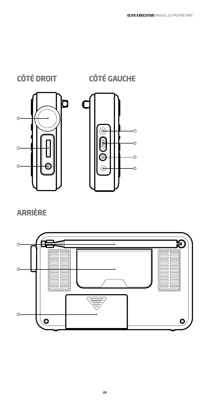



# **ARRIÈRE**

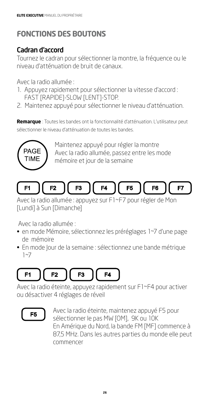# **FONCTIONS DES BOUTONS**

# Cadran d'accord

Tournez le cadran pour sélectionner la montre, la fréquence ou le niveau d'atténuation de bruit de canaux.

Avec la radio allumée :

- 1. Appuyez rapidement pour sélectionner la vitesse d'accord : FAST [RAPIDE]-SLOW [LENT]-STOP.
- 2. Maintenez appuyé pour sélectionner le niveau d'atténuation.

**Remarque** : Toutes les bandes ont la fonctionnalité d'atténuation. L'utilisateur peut sélectionner le niveau d'atténuation de toutes les bandes.



Maintenez appuyé pour régler la montre Avec la radio allumée, passez entre les mode mémoire et jour de la semaine



Avec la radio allumée : appuyez sur F1~F7 pour régler de Mon [Lundi] à Sun [Dimanche]

Avec la radio allumée :

- en mode Mémoire, sélectionnez les préréglages 1~7 d'une page de mémoire
- En mode Jour de la semaine : sélectionnez une bande métrique 1~7

#### F<sub>1</sub>  $F2$ F<sub>3</sub> F4

Avec la radio éteinte, appuyez rapidement sur F1~F4 pour activer ou désactiver 4 réglages de réveil



Avec la radio éteinte, maintenez appuyé F5 pour sélectionner le pas MW [OM], 9K ou 10K En Amérique du Nord, la bande FM [MF] commence à 87,5 MHz. Dans les autres parties du monde elle peut commencer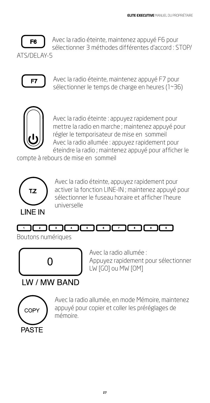

Avec la radio éteinte, maintenez appuyé F6 pour sélectionner 3 méthodes différentes d'accord : STOP/

ATS/DELAY-5



Avec la radio éteinte, maintenez appuyé F7 pour sélectionner le temps de charge en heures (1~36)



Avec la radio éteinte : appuyez rapidement pour mettre la radio en marche ; maintenez appuyé pour régler le temporisateur de mise en sommeil Avec la radio allumée : appuyez rapidement pour éteindre la radio ; maintenez appuyé pour afficher le

compte à rebours de mise en sommeil



Avec la radio éteinte, appuyez rapidement pour activer la fonction LINE-IN ; maintenez appuyé pour sélectionner le fuseau horaire et afficher l'heure universelle

# 

Boutons numériques



Avec la radio allumée : Appuyez rapidement pour sélectionner LW [GO] ou MW [OM]

# **IW/MW BAND**



Avec la radio allumée, en mode Mémoire, maintenez appuyé pour copier et coller les préréglages de mémoire.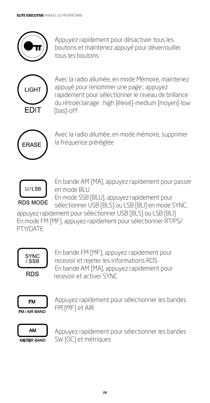

Appuyez rapidement pour désactiver tous les boutons et maintenez appuyé pour déverrouiller tous les boutons



Avec la radio allumée, en mode Mémoire, maintenez appuyé pour renommer une page ; appuyez rapidement pour sélectionner le niveau de brillance du rétroéclairage : high [élevé]-medium [moyen]-low [bas]-off



Avec la radio allumée, en mode mémoire, supprimer la fréquence préréglée



En bande AM [MA], appuyez rapidement pour passer en mode BLU

En mode SSB [BLU], appuyez rapidement pour sélectionner USB [BLS] ou LSB [BLI] en mode SYNC,

appuyez rapidement pour sélectionner USB [BLS] ou LSB [BLI] En mode FM [MF], appuyez rapidement pour sélectionner RT/PS/ PTY/DATE



En bande FM [MF], appuyez rapidement pour recevoir et rejeter les informations RDS En bande AM [MA], appuyez rapidement pour recevoir et activer SYNC



Appuyez rapidement pour sélectionner les bandes FM [MF] et AIR



Appuyez rapidement pour sélectionner les bandes SW [OC] et métriques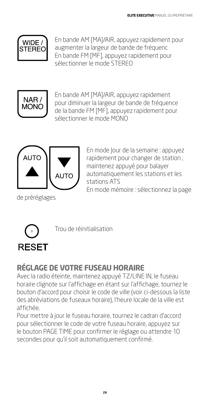

En bande AM [MA]/AIR, appuyez rapidement pour augmenter la largeur de bande de fréquenc En bande FM [MF], appuyez rapidement pour sélectionner le mode STEREO



En bande AM [MA]/AIR, appuyez rapidement pour diminuer la largeur de bande de fréquence de la bande FM [MF], appuyez rapidement pour sélectionner le mode MONO



de préréglages

En mode Jour de la semaine : appuyez rapidement pour changer de station ; maintenez appuyé pour balayer automatiquement les stations et les stations ATS

En mode mémoire : sélectionnez la page



Trou de réinitialisation

# **RÉGLAGE DE VOTRE FUSEAU HORAIRE**

Avec la radio éteinte, maintenez appuyé TZ/LINE IN, le fuseau horaire clignote sur l'affichage en étant sur l'affichage, tournez le bouton d'accord pour choisir le code de ville (voir ci-dessous la liste des abréviations de fuseaux horaire), l'heure locale de la ville est affichée.

Pour mettre à jour le fuseau horaire, tournez le cadran d'accord pour sélectionner le code de votre fuseau horaire, appuyez sur le bouton PAGE TIME pour confirmer le réglage ou attendre 10 secondes pour qu'il soit automatiquement confirmé.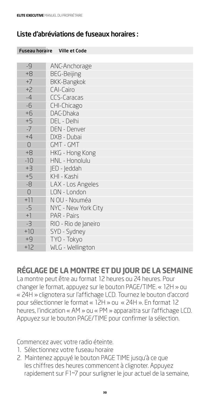#### Liste d'abréviations de fuseaux horaires :

| <b>Fuseau horaire</b> | <b>Ville et Code</b> |
|-----------------------|----------------------|
|                       |                      |
| -9                    | ANC-Anchorage        |
| $+8$                  | <b>BEG-Beijing</b>   |
| $+7$                  | <b>BKK-Bangkok</b>   |
| $+2$                  | CAI-Cairo            |
| $-4$                  | <b>CCS-Caracas</b>   |
| $-6$                  | CHI-Chicago          |
| $+6$                  | DAC-Dhaka            |
| $+5$                  | DEL - Delhi          |
| $-7$                  | <b>DEN - Denver</b>  |
| $+4$                  | DXB - Dubai          |
| $\overline{O}$        | GMT - GMT            |
| $+8$                  | HKG - Hong Kong      |
| $-10$                 | HNL - Honolulu       |
| $+3$                  | <b>IED - leddah</b>  |
| $+5$                  | KHI - Kashi          |
| $-8$                  | LAX - Los Angeles    |
| $\bigcirc$            | LON - London         |
| $+11$                 | N OU - Nouméa        |
| $-5$                  | NYC - New York City  |
| $+1$                  | PAR - Pairs          |
| $-3$                  | RIO - Rio de Janeiro |
| $+10$                 | SYD - Sydney         |
| $+9$                  | TYO - Tokyo          |
| $+12$                 | WLG - Wellington     |

#### **RÉGLAGE DE LA MONTRE ET DU JOUR DE LA SEMAINE**

La montre peut être au format 12 heures ou 24 heures. Pour changer le format, appuyez sur le bouton PAGE/TIME. « 12H » ou « 24H » clignotera sur l'affichage LCD. Tournez le bouton d'accord pour sélectionner le format « 12H » ou « 24H ». En format 12 heures, l'indication « AM » ou « PM » apparaitra sur l'affichage LCD. Appuyez sur le bouton PAGE/TIME pour confirmer la sélection.

Commencez avec votre radio éteinte.

- 1. Sélectionnez votre fuseau horaire
- 2. Maintenez appuyé le bouton PAGE TIME jusqu'à ce que les chiffres des heures commencent à clignoter. Appuyez rapidement sur F1~7 pour surligner le jour actuel de la semaine,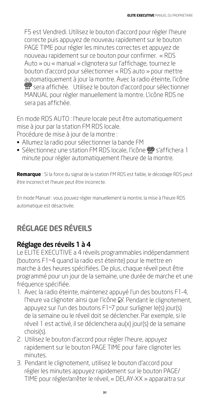F5 est Vendredi. Utilisez le bouton d'accord pour régler l'heure correcte puis appuyez de nouveau rapidement sur le bouton PAGE TIME pour régler les minutes correctes et appuyez de nouveau rapidement sur ce bouton pour confirmer. « RDS Auto » ou « manual » clignotera sur l'affichage, tournez le bouton d'accord pour sélectionner « RDS auto » pour mettre automatiquement à jour la montre. Avec la radio éteinte, l'icône sera affichée. Utilisez le bouton d'accord pour sélectionner MANUAL pour régler manuellement la montre. L'icône RDS ne sera pas affichée.

En mode RDS AUTO : l'heure locale peut être automatiquement mise à jour par la station FM RDS locale.

Procédure de mise à jour de la montre :

- Allumez la radio pour sélectionner la bande FM
- Sélectionnez une station FM RDS locale, l'icône  $\mathcal{P}$  s'affichera 1 minute pour régler automatiquement l'heure de la montre.

**Remarque** : Si la force du signal de la station FM RDS est faible, le décodage RDS peut être incorrect et l'heure peut être incorrecte.

En mode Manuel : vous pouvez régler manuellement la montre, la mise à l'heure RDS automatique est désactivée.

# **RÉGLAGE DES RÉVEILS**

#### Réglage des réveils 1 à 4

Le ELITE EXECUTIVE a 4 réveils programmables indépendamment (boutons F1~4 quand la radio est éteinte) pour le mettre en marche à des heures spécifiées. De plus, chaque réveil peut être programmé pour un jour de la semaine, une durée de marche et une fréquence spécifiée.

- 1. Avec la radio éteinte, maintenez appuyé l'un des boutons F1-4, l'heure va clignoter ainsi que l'icône  $\mathfrak{S}$ . Pendant le clignotement, appuyez sur l'un des boutons F1~7 pour surligner le(s) jour(s) de la semaine ou le réveil doit se déclencher. Par exemple, si le réveil 1 est activé, il se déclenchera au(x) jour(s) de la semaine choisi(s).
- 2. Utilisez le bouton d'accord pour régler l'heure, appuyez rapidement sur le bouton PAGE TIME pour faire clignoter les minutes.
- 3. Pendant le clignotement, utilisez le bouton d'accord pour régler les minutes appuyez rapidement sur le bouton PAGE/ TIME pour régler/arrêter le réveil, « DELAY-XX » apparaitra sur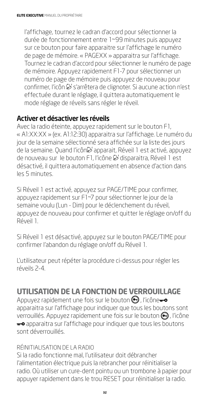l'affichage, tournez le cadran d'accord pour sélectionner la durée de fonctionnement entre 1~99 minutes puis appuyez sur ce bouton pour faire apparaitre sur l'affichage le numéro de page de mémoire. « PAGEXX » apparaitra sur l'affichage. Tournez le cadran d'accord pour sélectionner le numéro de page de mémoire. Appuyez rapidement F1-7 pour sélectionner un numéro de page de mémoire puis appuyez de nouveau pour confirmer, l'icôn & s'arrêtera de clignoter. Si aucune action n'est effectuée durant le réglage, il quittera automatiquement le mode réglage de réveils sans régler le réveil.

#### Activer et désactiver les réveils

Avec la radio éteinte, appuyez rapidement sur le bouton F1, « A1:XX:XX » (ex. A1:12:30) apparaitra sur l'affichage. Le numéro du jour de la semaine sélectionné sera affichée sur la liste des jours de la semaine. Quand l'icôn l'apparait, Réveil 1 est activé, appuyez de nouveau sur le bouton F1, l'icône & disparaitra, Réveil 1 est désactivé, il quittera automatiquement en absence d'action dans les 5 minutes.

Si Réveil 1 est activé, appuyez sur PAGE/TIME pour confirmer, appuyez rapidement sur F1~7 pour sélectionner le jour de la semaine voulu (Lun - Dim) pour le déclenchement du réveil, appuyez de nouveau pour confirmer et quitter le réglage on/off du Réveil 1.

Si Réveil 1 est désactivé, appuyez sur le bouton PAGE/TIME pour confirmer l'abandon du réglage on/off du Réveil 1.

L'utilisateur peut répéter la procédure ci-dessus pour régler les réveils 2-4.

# **UTILISATION DE LA FONCTION DE VERROUILLAGE**

Appuyez rapidement une fois sur le bouton  $\bigcirc$ , l'icône $\rightarrow$ apparaitra sur l'affichage pour indiquer que tous les boutons sont verrouillés. Appuyez rapidement une fois sur le bouton  $\bigcirc$ , l'icône **a** apparaitra sur l'affichage pour indiquer que tous les boutons sont déverrouillés.

#### RÉINITIALISATION DE LA RADIO

Si la radio fonctionne mal, l'utilisateur doit débrancher l'alimentation électrique puis la rebrancher pour réinitialiser la radio. Où utiliser un cure-dent pointu ou un trombone à papier pour appuyer rapidement dans le trou RESET pour réinitialiser la radio.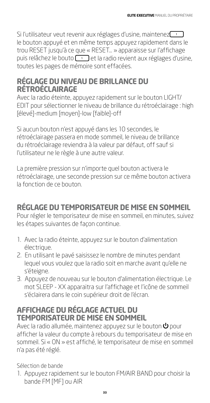Si l'utilisateur veut revenir aux réglages d'usine, maintenez le bouton appuyé et en même temps appuyez rapidement dans le trou RESET jusqu'à ce que « RESET… » apparaisse sur l'affichage puis relâchez le bouto  $\Box$  et la radio revient aux réglages d'usine, toutes les pages de mémoire sont effacées.

#### **RÉGLAGE DU NIVEAU DE BRILLANCE DU RÉTROÉCLAIRAGE**

Avec la radio éteinte, appuyez rapidement sur le bouton LIGHT/ EDIT pour sélectionner le niveau de brillance du rétroéclairage : high [élevé]-medium [moyen]-low [faible]-off

Si aucun bouton n'est appuyé dans les 10 secondes, le rétroéclairage passera en mode sommeil, le niveau de brillance du rétroéclairage reviendra à la valeur par défaut, off sauf si l'utilisateur ne le règle à une autre valeur.

La première pression sur n'importe quel bouton activera le rétroéclairage, une seconde pression sur ce même bouton activera la fonction de ce bouton.

# **RÉGLAGE DU TEMPORISATEUR DE MISE EN SOMMEIL**

Pour régler le temporisateur de mise en sommeil, en minutes, suivez les étapes suivantes de façon continue.

- 1. Avec la radio éteinte, appuyez sur le bouton d'alimentation électrique.
- 2. En utilisant le pavé saisissez le nombre de minutes pendant lequel vous voulez que la radio soit en marche avant qu'elle ne s'éteigne.
- 3. Appuyez de nouveau sur le bouton d'alimentation électrique. Le mot SLEEP - XX apparaitra sur l'affichage et l'icône de sommeil s'éclairera dans le coin supérieur droit de l'écran.

#### **AFFICHAGE DU RÉGLAGE ACTUEL DU TEMPORISATEUR DE MISE EN SOMMEIL**

Avec la radio allumée, maintenez appuyez sur le bouton  $\mathsf{\Phi}$  pour afficher la valeur du compte à rebours du temporisateur de mise en sommeil. Si « ON » est affiché, le temporisateur de mise en sommeil n'a pas été réglé.

Sélection de bande

1. Appuyez rapidement sur le bouton FM/AIR BAND pour choisir la bande FM [MF] ou AIR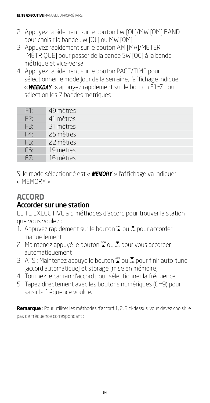- 2. Appuyez rapidement sur le bouton LW [OL]/MW [OM] BAND pour choisir la bande LW [OL] ou MW [OM]
- 3. Appuyez rapidement sur le bouton AM [MA]/METER [MÉTRIQUE] pour passer de la bande SW [OC] à la bande métrique et vice-versa.
- 4. Appuyez rapidement sur le bouton PAGE/TIME pour sélectionner le mode Jour de la semaine, l'affichage indique « **WEEKDAY** », appuyez rapidement sur le bouton F1~7 pour sélection les 7 bandes métriques

| F1:             | 49 mètres |
|-----------------|-----------|
| F2:             | 41 mètres |
| F3:             | 31 mètres |
| F4 <sup>.</sup> | 25 mètres |
| F5:             | 22 mètres |
| F6:             | 19 mètres |
| F7              | 16 mètres |

Si le mode sélectionné est «  $MEMORY$  » l'affichage va indiquer « MEMORY ».

# **ACCORD**

#### Accorder sur une station

ELITE EXECUTIVE a 5 méthodes d'accord pour trouver la station que vous voulez :

- 1. Appuyez rapidement sur le bouton  $\sum_{n=0}^{\infty}$  ou  $\sum_{n=0}^{\infty}$  pour accorder manuellement
- 2. Maintenez appuyé le bouton  $\sum_{n=0}^{\infty}$  ou  $\sum_{n=0}^{\infty}$  pour vous accorder automatiquement
- 3. ATS : Maintenez appuyé le bouton <a>
∴equal pour finir auto-tune [accord automatique] et storage [mise en mémoire]
- 4. Tournez le cadran d'accord pour sélectionner la fréquence
- 5. Tapez directement avec les boutons numériques (0~9) pour saisir la fréquence voulue.

**Remarque** : Pour utiliser les méthodes d'accord 1, 2, 3 ci-dessus, vous devez choisir le pas de fréquence correspondant :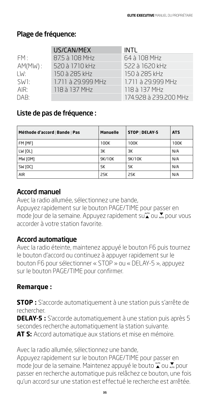#### Plage de fréquence:

|                   | US/CAN/MEX         | INTL                  |
|-------------------|--------------------|-----------------------|
| FM:               | 87.5 à 108 MHz     | 64 à 108 MHz          |
| $AM(MW)$ :        | 520 à 1710 kHz     | 522 à 1620 kHz        |
| LW:               | 150 à 285 kHz      | 150 à 285 kHz         |
| SW <sub>1</sub> : | 1.711 à 29.999 MHz | 1.711 à 29.999 MHz    |
| AIR:              | 118 à 137 MHz      | 118 à 137 MHz         |
| DAB:              |                    | 174.928 à 239.200 MHz |

#### Liste de pas de fréquence :

| Méthode d'accord   Bande   Pas | <b>Manuelle</b> | STOP   DELAY-5 | <b>ATS</b> |
|--------------------------------|-----------------|----------------|------------|
| FM [MF]                        | 100K            | 100K           | 100K       |
| LW [OL]                        | ЗK              | ЗК             | N/A        |
| MW [OM]                        | 9K/10K          | 9K/10K         | N/A        |
| SW [OC]                        | 5K              | 5K             | N/A        |
| <b>AIR</b>                     | 25K             | 25K            | N/A        |

#### Accord manuel

Avec la radio allumée, sélectionnez une bande, Appuyez rapidement sur le bouton PAGE/TIME pour passer en mode lour de la semaine. Appuyez rapidement su $\sum_{n=0}^{\infty}$  ou  $\sum_{n=0}^{\infty}$  pour vous accorder à votre station favorite.

#### Accord automatique

Avec la radio éteinte, maintenez appuyé le bouton F6 puis tournez le bouton d'accord ou continuez à appuyer rapidement sur le bouton F6 pour sélectionner « STOP » ou « DELAY-5 », appuyez sur le bouton PAGE/TIME pour confirmer.

#### **Remarque :**

**STOP :** S'accorde automatiquement à une station puis s'arrête de rechercher.

**DELAY-5 :** S'accorde automatiquement à une station puis après 5 secondes recherche automatiquement la station suivante. **AT S:** Accord automatique aux stations et mise en mémoire.

Avec la radio allumée, sélectionnez une bande,

Appuyez rapidement sur le bouton PAGE/TIME pour passer en mode Jour de la semaine. Maintenez appuyé le bouto  $\sum_{n=0}^{\infty}$ pour passer en recherche automatique puis relâchez ce bouton, une fois qu'un accord sur une station est effectué le recherche est arrêtée.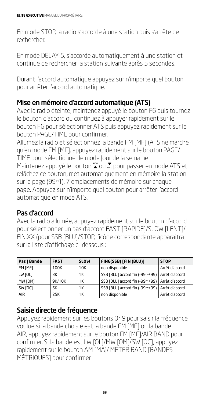En mode STOP, la radio s'accorde à une station puis s'arrête de rechercher.

En mode DELAY-5, s'accorde automatiquement à une station et continue de rechercher la station suivante après 5 secondes.

Durant l'accord automatique appuyez sur n'importe quel bouton pour arrêter l'accord automatique.

#### Mise en mémoire d'accord automatique (ATS)

Avec la radio éteinte, maintenez appuyé le bouton F6 puis tournez le bouton d'accord ou continuez à appuyer rapidement sur le bouton F6 pour sélectionner ATS puis appuyez rapidement sur le bouton PAGE/TIME pour confirmer.

Allumez la radio et sélectionnez la bande FM [MF] (ATS ne marche qu'en mode FM [MF]. appuyez rapidement sur le bouton PAGE/ TIME pour sélectionner le mode Jour de la semaine Maintenez appuyé le bouton  $\sum_{n=0}^{\infty}$  ou  $\sum_{n=0}^{\infty}$  pour passer en mode ATS et relâchez ce bouton, met automatiquement en mémoire la station sur la page (99~1), 7 emplacements de mémoire sur chaque page. Appuyez sur n'importe quel bouton pour arrêter l'accord automatique en mode ATS.

#### Pas d'accord

Avec la radio allumée, appuyez rapidement sur le bouton d'accord pour sélectionner un pas d'accord FAST [RAPIDE]/SLOW [LENT]/ FIN:XX (pour SSB [BLU]/STOP, l'icône correspondante apparaitra sur la liste d'affichage ci-dessous :

| Pas   Bande | <b>FAST</b> | <b>SLOW</b> | FINE(SSB) [FIN (BLU)]                           | <b>STOP</b>    |
|-------------|-------------|-------------|-------------------------------------------------|----------------|
| FM [MF]     | 100K        | 10K         | non disponible                                  | Arrêt d'accord |
| LW [OL]     | зк          | 1Κ          | SSB [BLU] accord fin (-99~+99)   Arrêt d'accord |                |
| MW [OM]     | 9K/10K      | 1Κ          | SSB [BLU] accord fin (-99~+99)   Arrêt d'accord |                |
| SW [OC]     | 5К          | 1Κ          | SSB [BLU] accord fin (-99~+99)   Arrêt d'accord |                |
| <b>AIR</b>  | 25K         | 1Κ          | non disponible                                  | Arrêt d'accord |

#### Saisie directe de fréquence

Appuyez rapidement sur les boutons 0~9 pour saisir la fréquence voulue si la bande choisie est la bande FM [MF] ou la bande AIR, appuyez rapidement sur le bouton FM [MF]/AIR BAND pour confirmer. Si la bande est LW [OL]/MW [OM]/SW [OC], appuyez rapidement sur le bouton AM [MA]/ METER BAND [BANDES MÉTRIQUES] pour confirmer.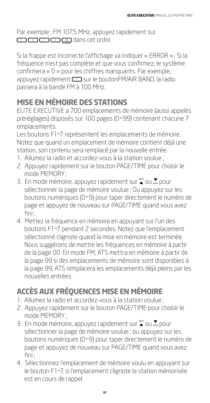Par exemple : FM 107,5 MHz, appuyez rapidement sur CDCDCDCDCMDdans cet ordre.

Si la frappe est incorrecte l'affichage va indiquer « ERROR » ; Si la fréquence n'est pas complète et que vous confirmez, le système confirmera « 0 » pour les chiffres manquants. Par exemple, appuyez rapidement  $\Box$  sur le boutonFM/AIR BAND, la radio passera à la bande FM à 100 MHz.

### **MISE EN MÉMOIRE DES STATIONS**

ELITE EXECUTIVE a 700 emplacements de mémoire (aussi appelés préréglages) disposés sur 100 pages (0~99) contenant chacune 7 emplacements.

Les boutons F1~7 représentent les emplacements de mémoire. Notez que quand un emplacement de mémoire contient déjà une station, son contenu sera remplacé par la nouvelle entrée.

- 1. Allumez la radio et accordez-vous à la station voulue ;
- 2. Appuyez rapidement sur le bouton PAGE/TIME pour choisir le mode MEMORY ;
- 3. En mode mémoire, appuyez rapidement sur  $\sum_{n=0}^{\infty}$  ou  $\sum_{n=0}^{\infty}$  pour sélectionner la page de mémoire voulue ; Ou appuyez sur les boutons numériques (0~9) pour taper directement le numéro de page et appuyez de nouveau sur PAGE/TIME quand vous avez fini ;
- 4. Mettez la fréquence en mémoire en appuyant sur l'un des boutons F1~7 pendant 2 secondes. Notez que l'emplacement sélectionné clignote quand la mise en mémoire est terminée. Nous suggérons de mettre les fréquences en mémoire à partir de la page 00. En mode FM, ATS mettra en mémoire à partir de la page 99 si des emplacements de mémoire sont disponibles à la page 99, ATS remplacera les emplacements déjà pleins par les nouvelles entrées.

### **ACCÈS AUX FRÉQUENCES MISE EN MÉMOIRE**

- 1. Allumez la radio et accordez-vous à la station voulue ;
- 2. Appuyez rapidement sur le bouton PAGE/TIME pour choisir le mode MEMORY ;
- 3. En mode mémoire, appuyez rapidement sur  $\sum_{n=0}^{\infty}$  ou  $\sum_{n=0}^{\infty}$  pour sélectionner la page de mémoire voulue ; ou appuyez sur les boutons numériques (0~9) pour taper directement le numéro de page et appuyez de nouveau sur PAGE/TIME quand vous avez fini ;
- 4. Sélectionnez l'emplacement de mémoire voulu en appuyant sur le bouton F1~7, si l'emplacement clignote la station mémorisée est en cours de rappel.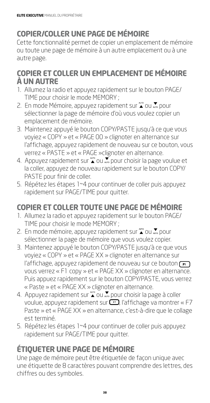### **COPIER/COLLER UNE PAGE DE MÉMOIRE**

Cette fonctionnalité permet de copier un emplacement de mémoire ou toute une page de mémoire à un autre emplacement ou à une autre page.

#### **COPIER ET COLLER UN EMPLACEMENT DE MÉMOIRE À UN AUTRE**

- 1. Allumez la radio et appuyez rapidement sur le bouton PAGE/ TIME pour choisir le mode MEMORY ;
- 2. En mode Mémoire, appuyez rapidement sur  $\sum_{n=0}^{\infty}$ ou  $\sum_{n=0}^{\infty}$  pour sélectionner la page de mémoire d'où vous voulez copier un emplacement de mémoire.
- 3. Maintenez appuyé le bouton COPY/PASTE jusqu'à ce que vous voyiez « COPY » et « PAGE 00 » clignoter en alternance sur l'affichage, appuyez rapidement de nouveau sur ce bouton, vous verrez « PASTE » et « PAGE »clignoter en alternance.
- 4. Appuyez rapidement sur  $\sum_{n=0}^{\infty}$  ou  $\sum_{n=0}^{\infty}$  pour choisir la page voulue et la coller, appuyez de nouveau rapidement sur le bouton COPY/ PASTE pour finir de coller.
- 5. Répétez les étapes 1~4 pour continuer de coller puis appuyez rapidement sur PAGE/TIME pour quitter.

# **COPIER ET COLLER TOUTE UNE PAGE DE MÉMOIRE**

- 1. Allumez la radio et appuyez rapidement sur le bouton PAGE/ TIME pour choisir le mode MEMORY ;
- 2. En mode mémoire, appuyez rapidement sur  $\sum_{n=0}^{\infty}$  ou  $\sum_{n=0}^{\infty}$  pour sélectionner la page de mémoire que vous voulez copier.
- 3. Maintenez appuyé le bouton COPY/PASTE jusqu'à ce que vous voyiez « COPY » et « PAGE XX » clignoter en alternance sur l'affichage, appuyez rapidement de nouveau sur ce bouton  $\boxed{\bullet}$ vous verrez « F1 copy » et « PAGE XX » clignoter en alternance. Puis appuez rapidement sur le bouton COPY/PASTE, vous verrez « Paste » et « PAGE XX » clignoter en alternance.
- 4. Appuyez rapidement sur  $\sum_{n=0}^{\infty}$  ou  $\sum_{n=0}^{\infty}$  pour choisir la page à coller voulue, appuyez rapidement sur  $\left(\frac{1}{2}\right)$ , l'affichage va montrer « F7 Paste » et « PAGE XX » en alternance, c'est-à-dire que le collage est terminé.
- 5. Répétez les étapes 1~4 pour continuer de coller puis appuyez rapidement sur PAGE/TIME pour quitter.

# **ÉTIQUETER UNE PAGE DE MÉMOIRE**

Une page de mémoire peut être étiquetée de façon unique avec une étiquette de 8 caractères pouvant comprendre des lettres, des chiffres ou des symboles.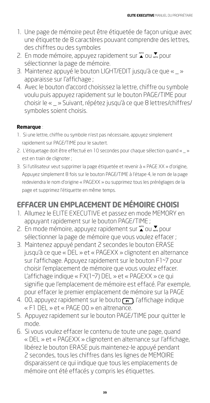- 1. Une page de mémoire peut être étiquetée de façon unique avec une étiquette de 8 caractères pouvant comprendre des lettres, des chiffres ou des symboles
- 2. En mode mémoire, appuyez rapidement sur  $\sum_{n=0}^{\infty}$  ou  $\sum_{n=0}^{\infty}$  pour sélectionner la page de mémoire.
- 3. Maintenez appuyé le bouton LIGHT/EDIT jusqu'à ce que « \_ » apparaisse sur l'affichage ;
- 4. Avec le bouton d'accord choisissez la lettre, chiffre ou symbole voulu puis appuyez rapidement sur le bouton PAGE/TIME pour choisir le « \_ » Suivant, répétez jusqu'à ce que 8 lettres/chiffres/ symboles soient choisis.

#### **Remarque** :

- 1. Si une lettre, chiffre ou symbole n'est pas nécessaire, appuyez simplement rapidement sur PAGE/TIME pour le sautert.
- 2. L'étiquetage doit être effectué en 10 secondes pour chaque sélection quand « \_ » est en train de clignoter ;
- 3. Si l'utilisateur veut supprimer la page étiquetée et revenir à « PAGE XX » d'origine, Appuyez simplement 8 fois sur le bouton PAGE/TIME à l'étape 4, le nom de la page redeviendra le nom d'origine « PAGEXX » ou supprimez tous les préréglages de la page et supprimez l'étiquette en même temps.

### **EFFACER UN EMPLACEMENT DE MÉMOIRE CHOISI**

- 1. Allumez le ELITE EXECUTIVE et passez en mode MEMORY en appuyant rapidement sur le bouton PAGE/TIME ;
- 2. En mode mémoire, appuyez rapidement sur  $\sum_{n=0}^{\infty}$  ou  $\sum_{n=0}^{\infty}$  pour sélectionner la page de mémoire que vous voulez effacer ;
- 3. Maintenez appuyé pendant 2 secondes le bouton ERASE jusqu'à ce que « DEL » et « PAGEXX » clignotent en alternance sur l'affichage. Appuyez rapidement sur le bouton F1~7 pour choisir l'emplacement de mémoire que vous voulez effacer. L'affichage indique « FX(1~7) DEL » et « PAGEXX » ce qui signifie que l'emplacement de mémoire est effacé. Par exemple, pour effacer le premier emplacement de mémoire sur la PAGE
- 4. 00, appuyez rapidement sur le bouto  $\Box$  l'affichage indique « F1 DEL » et « PAGE 00 » en altrenance.
- 5. Appuyez rapidement sur le bouton PAGE/TIME pour quitter le mode.
- 6. Si vous voulez effacer le contenu de toute une page, quand « DEL » et « PAGEXX » clignotent en alternance sur l'affichage, libérez le bouton ERASE puis maintenez-le appuyé pendant 2 secondes, tous les chiffres dans les lignes de MEMOIRE disparaissent ce qui indique que tous les emplacements de mémoire ont été effacés y compris les étiquettes.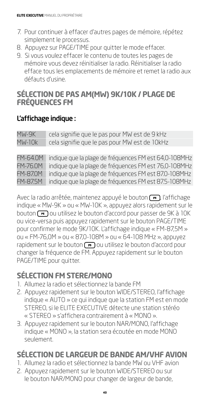- 7. Pour continuer à effacer d'autres pages de mémoire, répétez simplement le processus.
- 8. Appuyez sur PAGE/TIME pour quitter le mode effacer.
- 9. Si vous voulez effacer le contenu de toutes les pages de mémoire vous devez réinitialiser la radio. Réinitialiser la radio efface tous les emplacements de mémoire et remet la radio aux défauts d'usine.

#### **SÉLECTION DE PAS AM(MW) 9K/10K / PLAGE DE FRÉQUENCES FM**

#### L'affichage indique :

MW-9K cela signifie que le pas pour MW est de 9 kHz MW-10k cela signifie que le pas pour MW est de 10kHz

FM-64.0M indique que la plage de fréquences FM est 64,0-108MHz FM-76.0M indique que la plage de fréquences FM est 76,0-108MHz FM-87.0M indique que la plage de fréquences FM est 87.0-108MHz FM-87.5M indique que la plage de fréquences FM est 87.5-108MHz

Avec la radio arrêtée, maintenez appuyé le bouton  $\left(\overline{\phantom{a}}\right)$ , l'affichage indique « MW-9K » ou « MW-10K », appuyez alors rapidement sur le bouton  $\sqrt{5}$  ou utilisez le bouton d'accord pour passer de 9K à 10K ou vice-versa puis appuyez rapidement sur le bouton PAGE/TIME pour confirmer le mode 9K/10K. L'affichage indique « FM-87,5M » ou « FM-76,0M » ou « 87,0-108M » ou « 64-108 MHz », appuyez rapidement sur le bouton  $\left(\overline{\phantom{a}}\right)$  ou utilisez le bouton d'accord pour changer la fréquence de FM. Appuyez rapidement sur le bouton PAGE/TIME pour quitter.

### **SÉLECTION FM STERE/MONO**

- 1. Allumez la radio et sélectionnez la bande FM
- 2. Appuyez rapidement sur le bouton WIDE/STEREO, l'affichage indique « AUTO » ce qui indique que la station FM est en mode STEREO, si le ELITE EXECUTIVE détecte une station stéréo « STEREO » s'affichera contrairement à « MONO ».
- 3. Appuyez rapidement sur le bouton NAR/MONO, l'affichage indique « MONO », la station sera écoutée en mode MONO seulement.

### **SÉLECTION DE LARGEUR DE BANDE AM/VHF AVION**

- 1. Allumez la radio et sélectionnez la bande MW ou VHF avion
- 2. Appuyez rapidement sur le bouton WIDE/STEREO ou sur le bouton NAR/MONO pour changer de largeur de bande,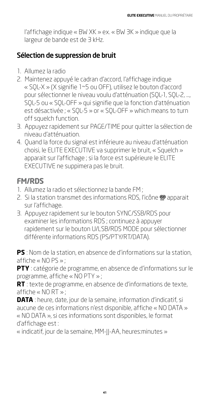l'affichage indique « BW XK » ex. « BW 3K » indique que la largeur de bande est de 3 kHz.

#### Sélection de suppression de bruit

- 1. Allumez la radio
- 2. Maintenez appuyé le cadran d'accord, l'affichage indique « SQL-X » (X signifie 1~5 ou OFF), utilisez le bouton d'accord pour sélectionner le niveau voulu d'atténuation (SQL-1, SQL-2, ..., SQL-5 ou « SQL-OFF » qui signifie que la fonction d'atténuation est désactivée ; « SQL-5 » or « SQL-OFF » which means to turn off squelch function.
- 3. Appuyez rapidement sur PAGE/TIME pour quitter la sélection de niveau d'atténuation.
- 4. Quand la force du signal est inférieure au niveau d'atténuation choisi, le ELITE EXECUTIVE va supprimer le bruit, « Squelch » apparait sur l'affichage ; si la force est supérieure le ELITE EXECUTIVE ne suppimera pas le bruit.

### **FM/RDS**

- 1. Allumez la radio et sélectionnez la bande FM ;
- 2. Si la station transmet des informations RDS, l'icône @ apparait sur l'affichage.
- 3. Appuyez rapidement sur le bouton SYNC/SSB/RDS pour examiner les informations RDS ; continuez à appuyer rapidement sur le bouton U/LSB/RDS MODE pour sélectionner différente informations RDS (PS/PTY/RT/DATA).

**PS** : Nom de la station, en absence de d'informations sur la station, affiche « NO PS » ;

**PTY** : catégorie de programme, en absence de d'informations sur le programme, affiche « NO PTY » ;

**RT** : texte de programme, en absence de d'informations de texte, affiche « NO RT » ;

**DATA** : heure, date, jour de la semaine, information d'indicatif, si aucune de ces informations n'est disponible, affiche « NO DATA » « NO DATA », si ces informations sont disponibles, le format d'affichage est :

« indicatif, jour de la semaine, MM-JJ-AA, heures:minutes »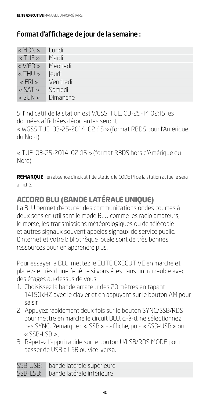#### Format d'affichage de jour de la semaine :

| « MON »                                                                                                     | Lundi    |
|-------------------------------------------------------------------------------------------------------------|----------|
| $\overline{\left\langle \mathcal{L} \right\rangle}$ TUE $\overline{\left\langle \mathcal{L} \right\rangle}$ | Mardi    |
| $\ll$ WED $\gg$                                                                                             | Mercredi |
| $\ll$ THU »                                                                                                 | leudi    |
| $\kappa$ FRI »                                                                                              | Vendredi |
| $\ltimes$ SAT $\gg$                                                                                         | Samedi   |
| « SUN »                                                                                                     | Dimanche |

Si l'indicatif de la station est WGSS, TUE, O3-25-14 02:15 les données affichées déroulantes seront :

« WGSS TUE 03-25-2014 02 :15 » (format RBDS pour l'Amérique du Nord)

« TUE 03-25-2014 02 :15 » (format RBDS hors d'Amérique du Nord)

**REMARQUE** : en absence d'indicatif de station, le CODE PI de la station actuelle sera affiché.

### **ACCORD BLU (BANDE LATÉRALE UNIQUE)**

La BLU permet d'écouter des communications ondes courtes à deux sens en utilisant le mode BLU comme les radio amateurs, le morse, les transmissions météorologiques ou de télécopie et autres signaux souvent appelés signaux de service public. L'Internet et votre bibliothèque locale sont de très bonnes ressources pour en apprendre plus.

Pour essayer la BLU, mettez le ELITE EXECUTIVE en marche et placez-le près d'une fenêtre si vous êtes dans un immeuble avec des étages au-dessus de vous.

- 1. Choisissez la bande amateur des 20 mètres en tapant 14150kHZ avec le clavier et en appuyant sur le bouton AM pour saisir.
- 2. Appuyez rapidement deux fois sur le bouton SYNC/SSB/RDS pour mettre en marche le circuit BLU, c.-à-d. ne sélectionnez pas SYNC. Remarque : « SSB » s'affiche, puis « SSB-USB » ou « SSB-LSB » ;
- 3. Répétez l'appui rapide sur le bouton U/LSB/RDS MODE pour passer de USB à LSB ou vice-versa.

SSB-USB: bande latérale supérieure SSB-LSB: bande latérale inférieure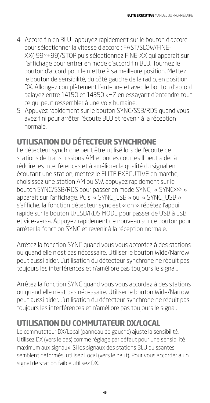- 4. Accord fin en BLU : appuyez rapidement sur le bouton d'accord pour sélectionner la vitesse d'accord : FAST/SLOW/FINE-XX(-99~+99)/STOP puis sélectionnez FINE-XX qui apparait sur l'affichage pour entrer en mode d'accord fin BLU. Tournez le bouton d'accord pour le mettre à sa meilleure position. Mettez le bouton de sensibilité, du côté gauche de la radio, en position DX. Allongez complètement l'antenne et avec le bouton d'accord balayez entre 14150 et 14350 kHZ en essayant d'entendre tout ce qui peut ressembler à une voix humaine.
- 5. Appuyez rapidement sur le bouton SYNC/SSB/RDS quand vous avez fini pour arrêter l'écoute BLU et revenir à la réception normale.

### **UTILISATION DU DÉTECTEUR SYNCHRONE**

Le détecteur synchrone peut être utilisé lors de l'écoute de stations de transmissions AM et ondes courtes Il peut aider à réduire les interférences et à améliorer la qualité du signal en écoutant une station, mettez le ELITE EXECUTIVE en marche, choisissez une station AM ou SW, appuyez rapidement sur le bouton SYNC/SSB/RDS pour passer en mode SYNC, « SYNC>>> » apparait sur l'affichage. Puis « SYNC\_LSB » ou « SYNC\_USB » s'affiche, la fonction détecteur sync est « on », répétez l'appui rapide sur le bouton U/LSB/RDS MODE pour passer de USB à LSB et vice-versa. Appuyez rapidement de nouveau sur ce bouton pour arrêter la fonction SYNC et revenir à la réception normale.

Arrêtez la fonction SYNC quand vous vous accordez à des stations ou quand elle n'est pas nécessaire. Utiliser le bouton Wide/Narrow peut aussi aider. L'utilisation du détecteur synchrone ne réduit pas toujours les interférences et n'améliore pas toujours le signal..

Arrêtez la fonction SYNC quand vous vous accordez à des stations ou quand elle n'est pas nécessaire. Utiliser le bouton Wide/Narrow peut aussi aider. L'utilisation du détecteur synchrone ne réduit pas toujours les interférences et n'améliore pas toujours le signal.

### **UTILISATION DU COMMUTATEUR DX/LOCAL**

Le commutateur DX/Local (panneau de gauche) ajuste la sensibilité. Utilisez DX (vers le bas) comme réglage par défaut pour une sensibilité maximum aux signaux. Si les signaux des stations BLU puissantes semblent déformés, utilisez Local (vers le haut). Pour vous accorder à un signal de station faible utilisez DX.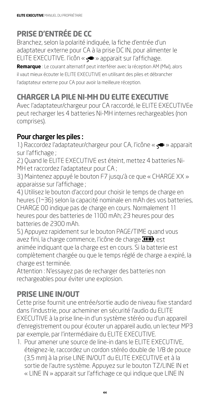### **PRISE D'ENTRÉE DE CC**

Branchez, selon la polarité indiquée, la fiche d'entrée d'un adaptateur externe pour CA à la prise DC IN, pour alimenter le ELITE EXECUTIVE. l'icôn « » apparait sur l'affichage.

**Remarque** : Le courant alternatif peut interférer avec la réception AM (MW), alors il vaut mieux écouter le ELITE EXECUTIVE en utilisant des piles et débrancher l'adaptateur externe pour CA pour avoir la meilleure réception.

### **CHARGER LA PILE NI-MH DU ELITE EXECUTIVE**

Avec l'adaptateur/chargeur pour CA raccordé, le ELITE EXECUTIVEe peut recharger les 4 batteries Ni-MH internes rechargeables (non comprises).

#### Pour charger les piles :

1.) Raccordez l'adaptateur/chargeur pour CA, l'icône « < > apparait sur l'affichage ;

2.) Quand le ELITE EXECUTIVE est éteint, mettez 4 batteries Ni-MH et raccordez l'adaptateur pour CA ;

3.) Maintenez appuyé le bouton F7 jusqu'à ce que « CHARGE XX » apparaisse sur l'affichage ;

4.) Utilisez le bouton d'accord pour choisir le temps de charge en heures (1~36) selon la capacité nominale en mAh des vos batteries, CHARGE 00 indique pas de charge en cours. Normalement 11 heures pour des batteries de 1100 mAh; 23 heures pour des batteries de 2300 mAh.

5.) Appuyez rapidement sur le bouton PAGE/TIME quand vous avez fini, la charge commence, l'icône de charge  $\Box$ , est animée indiquant que la charge est en cours. Si la batterie est complètement chargée ou que le temps réglé de charge a expiré, la charge est terminée.

Attention : N'essayez pas de recharger des batteries non rechargeables pour éviter une explosion.

### **PRISE LINE IN/OUT**

Cette prise fournit une entrée/sortie audio de niveau fixe standard dans l'industrie, pour acheminer en sécurité l'audio du ELITE EXECUTIVE à la prise line-in d'un système stéréo ou d'un appareil d'enregistrement ou pour écouter un appareil audio, un lecteur MP3 par exemple, par l'intermédiaire du ELITE EXECUTIVE.

1. Pour amener une source de line-in dans le ELITE EXECUTIVE, éteignez-le, raccordez un cordon stéréo double de 1/8 de pouce (3,5 mm) à la prise LINE IN/OUT du ELITE EXECUTIVE et à la sortie de l'autre système. Appuyez sur le bouton TZ/LINE IN et « LINE IN » apparait sur l'affichage ce qui indique que LINE IN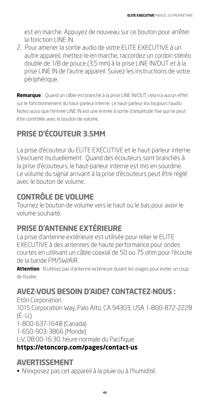est en marche. Appuyez de nouveau sur ce bouton pour arrêter la fonction LINE IN.

2. Pour amener la sortie audio de votre ELITE EXECUTIVE à un autre appareil, mettez-le en marche, raccordez un cordon stéréo double de 1/8 de pouce (3,5 mm) à la prise LINE IN/OUT et à la prise LINE IN de l'autre appareil. Suivez les instructions de votre périphérique.

**Remarque** : Quand un câble est branché à la prise LINE IN/OUT, cela n'a aucun effet sur le fonctionnement du haut-parleur interne. Le haut-parleur lira toujours l'audio. Notez aussi que l'entrée LINE IN est une entrée à sortie d'amplitude fixe qui ne peut être contrôlée avec le bouton de volume.

# **PRISE D'ÉCOUTEUR 3.5MM**

La prise d'écouteur du ELITE EXECUTIVE et le haut-parleur interne s'excluent mutuellement. Quand des écouteurs sont branchés à la prise d'écouteurs, le haut-parleur interne est mis en sourdine. Le volume du signal arrivant à la prise d'écouteurs peut être réglé avec le bouton de volume.

### **CONTRÔLE DE VOLUME**

Tournez le bouton de volume vers le haut ou le bas pour avoir le volume souhaité.

### **PRISE D'ANTENNE EXTÉRIEURE**

La prise d'antenne extérieure est utilisée pour relier le ELITE EXECUTIVE à des antennes de haute performance pour ondes courtes en utilisant un câble coaxial de 50 ou 75 ohm pour l'écoute de la bande FM/SW/AIR.

**Attention** : N'utilisez pas d'antenne extérieure durant les orages pour éviter un coup de foudre.

### **AVEZ-VOUS BESOIN D'AIDE? CONTACTEZ-NOUS :**

Etón Corporation 1015 Corporation Way, Palo Alto, CA 94303, USA 1-800-872-2228  $(\acute{E}.$ -U.) 1-800-637-1648 (Canada) 1-650-903-3866 (Monde) L-V, 08:00-16:30, heure normale du Pacifique **https://etoncorp.com/pages/contact-us**.

### **AVERTISSEMENT**

• N'exposez pas cet appareil à la pluie ou à l'humidité.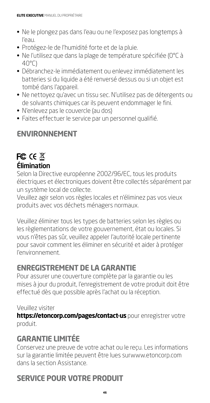- Ne le plongez pas dans l'eau ou ne l'exposez pas longtemps à l'eau.
- Protégez-le de l'humidité forte et de la pluie.
- Ne l'utilisez que dans la plage de température spécifiée (0°C à 40°C)
- Débranchez-le immédiatement ou enlevez immédiatement les batteries si du liquide a été renversé dessus ou si un objet est tombé dans l'appareil.
- Ne nettoyez qu'avec un tissu sec. N'utilisez pas de détergents ou de solvants chimiques car ils peuvent endommager le fini.
- N'enlevez pas le couvercle (au dos)
- Faites effectuer le service par un personnel qualifié.

### **ENVIRONNEMENT**

### **FC CE 区** Élimination

Selon la Directive européenne 2002/96/EC, tous les produits électriques et électroniques doivent être collectés séparément par un système local de collecte.

Veuillez agir selon vos règles locales et n'éliminez pas vos vieux produits avec vos déchets ménagers normaux.

Veuillez éliminer tous les types de batteries selon les règles ou les règlementations de votre gouvernement, état ou locales. Si vous n'êtes pas sûr, veuillez appeler l'autorité locale pertinente pour savoir comment les éliminer en sécurité et aider à protéger l'environnement.

### **ENREGISTREMENT DE LA GARANTIE**

Pour assurer une couverture complète par la garantie ou les mises à jour du produit, l'enregistrement de votre produit doit être effectué dès que possible après l'achat ou la réception.

#### Veuillez visiter

**https://etoncorp.com/pages/contact-us** pour enregistrer votre produit.

### **GARANTIE LIMITÉE**

Conservez une preuve de votre achat ou le reçu. Les informations sur la garantie limitée peuvent être lues surwww.etoncorp.com dans la section Assistance.

### **SERVICE POUR VOTRE PRODUIT**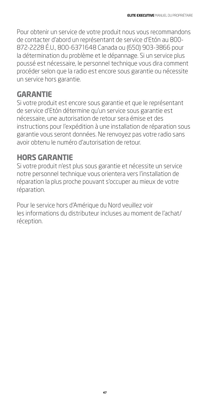Pour obtenir un service de votre produit nous vous recommandons de contacter d'abord un représentant de service d'Etón au 800- 872-2228 É.U., 800-6371648 Canada ou (650) 903-3866 pour la détermination du problème et le dépannage. Si un service plus poussé est nécessaire, le personnel technique vous dira comment procéder selon que la radio est encore sous garantie ou nécessite un service hors garantie.

#### **GARANTIE**

Si votre produit est encore sous garantie et que le représentant de service d'Etón détermine qu'un service sous garantie est nécessaire, une autorisation de retour sera émise et des instructions pour l'expédition à une installation de réparation sous garantie vous seront données. Ne renvoyez pas votre radio sans avoir obtenu le numéro d'autorisation de retour.

### **HORS GARANTIE**

Si votre produit n'est plus sous garantie et nécessite un service notre personnel technique vous orientera vers l'installation de réparation la plus proche pouvant s'occuper au mieux de votre réparation.

Pour le service hors d'Amérique du Nord veuillez voir les informations du distributeur incluses au moment de l'achat/ réception.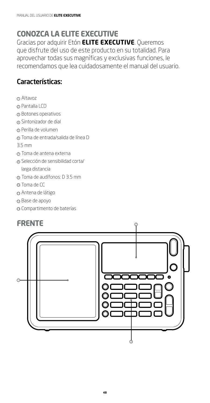### **CONOZCA LA ELITE EXECUTIVE**

Gracias por adquirir Etón **ELITE EXECUTIVE**. Queremos que disfrute del uso de este producto en su totalidad. Para aprovechar todas sus magníficas y exclusivas funciones, le recomendamos que lea cuidadosamente el manual del usuario.

#### Características:

- <sup>1</sup> Altavoz
- <sup>2</sup> Pantalla LCD
- <sup>3</sup> Botones operativos
- 4 Sintonizador de dial
- <sup>5</sup> Perilla de volumen
- <sup>6</sup> Toma de entrada/salida de línea D
- 3.5 mm
- <sup>7</sup> Toma de antena externa
- <sup>8</sup> Selección de sensibilidad corta/ larga distancia
- <sup>9</sup> Toma de audífonos: D 3.5 mm
- 10 Toma de CC
- <sup>11</sup> Antena de látigo
- 12 Base de apoyo
- <sup>13</sup> Compartimento de baterías

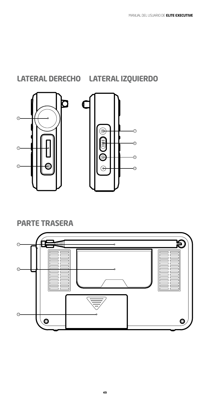### **PARTE TRASERA**







**LATERAL DERECHO LATERAL IZQUIERDO**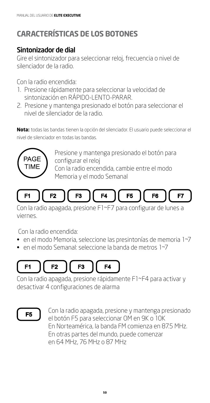# **CARACTERÍSTICAS DE LOS BOTONES**

#### Sintonizador de dial

Gire el sintonizador para seleccionar reloj, frecuencia o nivel de silenciador de la radio.

Con la radio encendida:

- 1. Presione rápidamente para seleccionar la velocidad de sintonización en RÁPIDO-LENTO-PARAR.
- 2. Presione y mantenga presionado el botón para seleccionar el nivel de silenciador de la radio.

**Nota:** todas las bandas tienen la opción del silenciador. El usuario puede seleccionar el nivel de silenciador en todas las bandas.



Presione y mantenga presionado el botón para configurar el reloj Con la radio encendida, cambie entre el modo

Memoria y el modo Semanal



Con la radio apagada, presione F1~F7 para configurar de lunes a viernes.

Con la radio encendida:

- en el modo Memoria, seleccione las presintonías de memoria 1~7
- en el modo Semanal: seleccione la banda de metros 1~7

#### F<sub>1</sub>  $F2$ F4 F<sub>3</sub>

Con la radio apagada, presione rápidamente F1~F4 para activar y desactivar 4 configuraciones de alarma

# F5

Con la radio apagada, presione y mantenga presionado el botón F5 para seleccionar OM en 9K o 10K En Norteamérica, la banda FM comienza en 87.5 MHz. En otras partes del mundo, puede comenzar en 64 MHz, 76 MHz o 87 MHz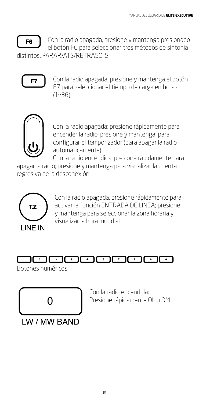

Con la radio apagada, presione y mantenga presionado el botón F6 para seleccionar tres métodos de sintonía distintos, PARAR/ATS/RETRASO-5



Con la radio apagada, presione y mantenga el botón F7 para seleccionar el tiempo de carga en horas (1~36)



Con la radio apagada: presione rápidamente para encender la radio; presione y mantenga para configurar el temporizador (para apagar la radio automáticamente)

Con la radio encendida: presione rápidamente para apagar la radio; presione y mantenga para visualizar la cuenta

regresiva de la desconexión



Con la radio apagada, presione rápidamente para activar la función ENTRADA DE LÍNEA; presione y mantenga para seleccionar la zona horaria y visualizar la hora mundial

#### $\Box$  $\sqrt{2}$  $\overline{\phantom{a}}$  $\overline{4}$  $\sqrt{5}$  $\overline{\phantom{a}}$  $\overline{\phantom{a}}$  $\overline{\bullet}$  $\overline{\cdot}$

**51**

Botones numéricos



**IW/MW BAND** 

Con la radio encendida: Presione rápidamente OL u OM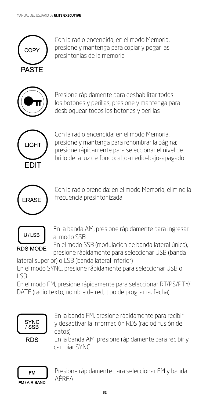

Con la radio encendida, en el modo Memoria, presione y mantenga para copiar y pegar las presintonías de la memoria



Presione rápidamente para deshabilitar todos los botones y perillas; presione y mantenga para desbloquear todos los botones y perillas



Con la radio encendida: en el modo Memoria, presione y mantenga para renombrar la página; presione rápidamente para seleccionar el nivel de brillo de la luz de fondo: alto-medio-bajo-apagado



Con la radio prendida: en el modo Memoria, elimine la frecuencia presintonizada



En la banda AM, presione rápidamente para ingresar al modo SSB

En el modo SSB (modulación de banda lateral única), presione rápidamente para seleccionar USB (banda

lateral superior) o LSB (banda lateral inferior) En el modo SYNC, presione rápidamente para seleccionar USB o LSB

En el modo FM, presione rápidamente para seleccionar RT/PS/PTY/ DATE (radio texto, nombre de red, tipo de programa, fecha)



En la banda FM, presione rápidamente para recibir y desactivar la información RDS (radiodifusión de datos)

**RDS** 

En la banda AM, presione rápidamente para recibir y cambiar SYNC



Presione rápidamente para seleccionar FM y banda AÉREA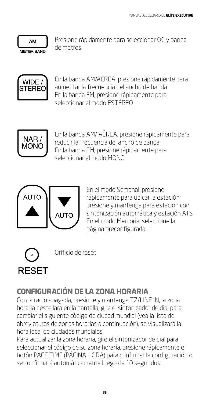

Presione rápidamente para seleccionar OC y banda de metros



En la banda AM/AÉREA, presione rápidamente para aumentar la frecuencia del ancho de banda En la banda FM, presione rápidamente para seleccionar el modo ESTÉREO



En la banda AM/ AÉREA, presione rápidamente para reducir la frecuencia del ancho de banda En la banda FM, presione rápidamente para seleccionar el modo MONO



En el modo Semanal: presione rápidamente para ubicar la estación; presione y mantenga para estación con sintonización automática y estación ATS En el modo Memoria: seleccione la página preconfigurada



Orificio de reset

# **CONFIGURACIÓN DE LA ZONA HORARIA**

Con la radio apagada, presione y mantenga TZ/LINE IN, la zona horaria destellará en la pantalla, gire el sintonizador de dial para cambiar el siguiente código de ciudad mundial (vea la lista de abreviaturas de zonas horarias a continuación), se visualizará la hora local de ciudades mundiales.

Para actualizar la zona horaria, gire el sintonizador de dial para seleccionar el código de su zona horaria, presione rápidamente el botón PAGE TIME (PÁGINA HORA) para confirmar la configuración o se confirmará automáticamente luego de 10 segundos.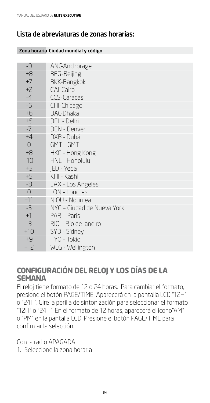#### Lista de abreviaturas de zonas horarias:

| Zona horaria Ciudad mundial y código |                            |  |
|--------------------------------------|----------------------------|--|
|                                      |                            |  |
| $-9$                                 | ANC-Anchorage              |  |
| $+8$                                 | <b>BEG-Beijing</b>         |  |
| $+7$                                 | <b>BKK-Bangkok</b>         |  |
| $+2$                                 | CAI-Cairo                  |  |
| $-4$                                 | <b>CCS-Caracas</b>         |  |
| $-6$                                 | CHI-Chicago                |  |
| $+6$                                 | DAC-Dhaka                  |  |
| $+5$                                 | DEL - Delhi                |  |
| $-7$                                 | <b>DEN - Denver</b>        |  |
| $+4$                                 | DXB - Dubái                |  |
| $\overline{0}$                       | GMT - GMT                  |  |
| $+8$                                 | HKG - Hong Kong            |  |
| $-10$                                | HNL - Honolulu             |  |
| $+3$                                 | IED - Yeda                 |  |
| $+5$                                 | KHI - Kashi                |  |
| -8                                   | LAX - Los Angeles          |  |
| $\overline{O}$                       | LON - Londres              |  |
| $+11$                                | N OU - Noumea              |  |
| $-5$                                 | NYC - Ciudad de Nueva York |  |
| $+1$                                 | PAR - Paris                |  |
| $-3$                                 | RIO – Río de Janeiro       |  |
| $+10$                                | SYD - Sídney               |  |
| $+9$                                 | TYO - Tokio                |  |
| $+12$                                | WLG - Wellington           |  |

#### **CONFIGURACIÓN DEL RELOJ Y LOS DÍAS DE LA SEMANA**

El reloj tiene formato de 12 o 24 horas. Para cambiar el formato, presione el botón PAGE/TIME. Aparecerá en la pantalla LCD "12H" o "24H". Gire la perilla de sintonización para seleccionar el formato "12H" o "24H". En el formato de 12 horas, aparecerá el ícono"AM" o "PM" en la pantalla LCD. Presione el botón PAGE/TIME para confirmar la selección.

Con la radio APAGADA.

1. Seleccione la zona horaria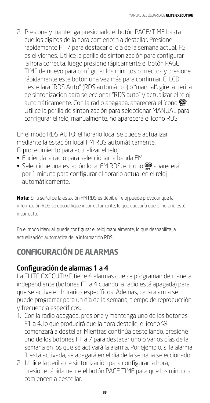2. Presione y mantenga presionado el botón PAGE/TIME hasta que los dígitos de la hora comiencen a destellar. Presione rápidamente F1-7 para destacar el día de la semana actual, F5 es el viernes. Utilice la perilla de sintonización para configurar la hora correcta, luego presione rápidamente el botón PAGE TIME de nuevo para configurar los minutos correctos y presione rápidamente este botón una vez más para confirmar. El LCD destellará "RDS Auto" (RDS automático) o "manual", gire la perilla de sintonización para seleccionar "RDS auto" y actualizar el reloj automáticamente. Con la radio apagada, aparecerá el ícono  $\mathcal{D}$ . Utilice la perilla de sintonización para seleccionar MANUAL para configurar el reloj manualmente, no aparecerá el ícono RDS.

En el modo RDS AUTO: el horario local se puede actualizar mediante la estación local FM RDS automáticamente. El procedimiento para actualizar el reloj:

- Encienda la radio para seleccionar la banda FM
- Seleccione una estación local FM RDS, el ícono @ aparecerá por 1 minuto para configurar el horario actual en el reloj automáticamente.

**Nota:** Si la señal de la estación FM RDS es débil, el reloj puede provocar que la información RDS se decodifique incorrectamente, lo que causaría que el horario esté incorrecto.

En el modo Manual: puede configurar el reloj manualmente, lo que deshabilita la actualización automática de la información RDS.

### **CONFIGURACIÓN DE ALARMAS**

### Configuración de alarmas 1 a 4

La ELITE EXECUTIVE tiene 4 alarmas que se programan de manera independiente (botones F1 a 4 cuando la radio está apagada) para que se active en horarios específicos. Además, cada alarma se puede programar para un día de la semana, tiempo de reproducción y frecuencia específicos.

- 1. Con la radio apagada, presione y mantenga uno de los botones F1 a 4, lo que producirá que la hora destelle, el ícono  $\mathcal{G}$ comenzará a destellar. Mientras continúa destellando, presione uno de los botones F1 a 7 para destacar uno o varios días de la semana en los que se activará la alarma. Por ejemplo, si la alarma 1 está activada, se apagará en el día de la semana seleccionado.
- 2. Utilice la perilla de sintonización para configurar la hora, presione rápidamente el botón PAGE TIME para que los minutos comiencen a destellar.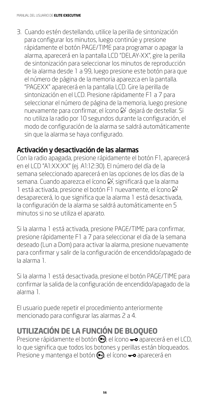3. Cuando estén destellando, utilice la perilla de sintonización para configurar los minutos, luego continúe y presione rápidamente el botón PAGE/TIME para programar o apagar la alarma, aparecerá en la pantalla LCD "DELAY-XX", gire la perilla de sintonización para seleccionar los minutos de reproducción de la alarma desde 1 a 99, luego presione este botón para que el número de página de la memoria aparezca en la pantalla. "PAGEXX" aparecerá en la pantalla LCD. Gire la perilla de sintonización en el LCD. Presione rápidamente F1 a 7 para seleccionar el número de página de la memoria, luego presione nuevamente para confirmar, el ícono  $\mathfrak S'$  dejará de destellar. Si no utiliza la radio por 10 segundos durante la configuración, el modo de configuración de la alarma se saldrá automáticamente sin que la alarma se haya configurado.

#### Activación y desactivación de las alarmas

Con la radio apagada, presione rápidamente el botón F1, aparecerá en el LCD "A1:XX:XX" (ej. A1:12:30). El número del día de la semana seleccionado aparecerá en las opciones de los días de la semana. Cuando aparezca el ícono  $\mathfrak{S}'$ , significará que la alarma 1 está activada, presione el botón F1 nuevamente, el ícono & desaparecerá, lo que significa que la alarma 1 está desactivada, la configuración de la alarma se saldrá automáticamente en 5 minutos si no se utiliza el aparato.

Si la alarma 1 está activada, presione PAGE/TIME para confirmar, presione rápidamente F1 a 7 para seleccionar el día de la semana deseado (Lun a Dom) para activar la alarma, presione nuevamente para confirmar y salir de la configuración de encendido/apagado de la alarma 1.

Si la alarma 1 está desactivada, presione el botón PAGE/TIME para confirmar la salida de la configuración de encendido/apagado de la alarma 1.

El usuario puede repetir el procedimiento anteriormente mencionado para configurar las alarmas 2 a 4.

### **UTILIZACIÓN DE LA FUNCIÓN DE BLOQUEO**

Presione rápidamente el botón (el ícono  $\rightarrow$  aparecerá en el LCD, lo que significa que todos los botones y perillas están bloqueados. Presione y mantenga el botón , el ícono — aparecerá en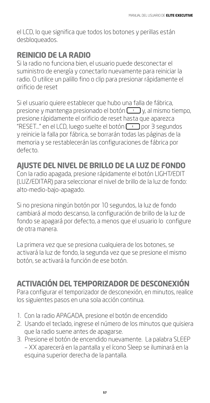el LCD, lo que significa que todos los botones y perillas están desbloqueados.

### **REINICIO DE LA RADIO**

Si la radio no funciona bien, el usuario puede desconectar el suministro de energía y conectarlo nuevamente para reiniciar la radio. O utilice un palillo fino o clip para presionar rápidamente el orificio de reset

Si el usuario quiere establecer que hubo una falla de fábrica, presione y mantenga presionado el botón  $\Box$  y, al mismo tiempo, presione rápidamente el orificio de reset hasta que aparezca "RESET..." en el LCD, luego suelte el botón  $\boxed{1}$  por 3 segundos y reinicie la falla por fábrica, se borrarán todas las páginas de la memoria y se restablecerán las configuraciones de fábrica por defecto.

### **AJUSTE DEL NIVEL DE BRILLO DE LA LUZ DE FONDO**

Con la radio apagada, presione rápidamente el botón LIGHT/EDIT (LUZ/EDITAR) para seleccionar el nivel de brillo de la luz de fondo: alto-medio-bajo-apagado.

Si no presiona ningún botón por 10 segundos, la luz de fondo cambiará al modo descanso, la configuración de brillo de la luz de fondo se apagará por defecto, a menos que el usuario lo configure de otra manera.

La primera vez que se presiona cualquiera de los botones, se activará la luz de fondo, la segunda vez que se presione el mismo botón, se activará la función de ese botón.

### **ACTIVACIÓN DEL TEMPORIZADOR DE DESCONEXIÓN**

Para configurar el temporizador de desconexión, en minutos, realice los siguientes pasos en una sola acción continua.

- 1. Con la radio APAGADA, presione el botón de encendido
- 2. Usando el teclado, ingrese el número de los minutos que quisiera que la radio suene antes de apagarse.
- 3. Presione el botón de encendido nuevamente. La palabra SLEEP – XX aparecerá en la pantalla y el ícono Sleep se iluminará en la esquina superior derecha de la pantalla.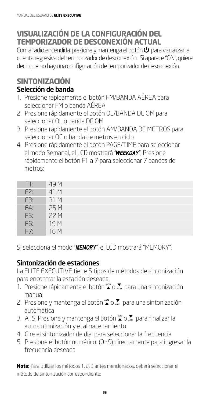### **VISUALIZACIÓN DE LA CONFIGURACIÓN DEL TEMPORIZADOR DE DESCONEXIÓN ACTUAL**

Con la radio encendida, presione y mantenga el botón  $\bm \cup$  para visualizar la cuenta regresiva del temporizador de desconexión. Si aparece "ON", quiere decir que no hay una configuración de temporizador de desconexión.

#### **SINTONIZACIÓN** Selección de banda

- 1. Presione rápidamente el botón FM/BANDA AÉREA para seleccionar FM o banda AÉREA
- 2. Presione rápidamente el botón OL/BANDA DE OM para seleccionar OL o banda DE OM
- 3. Presione rápidamente el botón AM/BANDA DE METROS para seleccionar OC o banda de metros en ciclo
- 4. Presione rápidamente el botón PAGE/TIME para seleccionar el modo Semanal, el LCD mostrará "WEEKDAY", Presione rápidamente el botón F1 a 7 para seleccionar 7 bandas de metros:

| F1: | 49 M            |
|-----|-----------------|
| F2: | 41 M            |
| F3: | 31 M            |
| F4: | 25 M            |
| F5: | 22 M            |
| F6: | 19 <sub>M</sub> |
| F7: | 16 M            |

Si selecciona el modo "MEMORY", el LCD mostrará "MEMORY".

#### Sintonización de estaciones

La ELITE EXECUTIVE tiene 5 tipos de métodos de sintonización para encontrar la estación deseada:

- 1. Presione rápidamente el botón  $\sum_{n=0}^{\infty}$  para una sintonización manual
- 2. Presione y mantenga el botón  $\sum_{n=0}^{\infty}$  para una sintonización automática
- 3. ATS: Presione y mantenga el botón  $\sum_{n=0}^{\infty}$  para finalizar la autosintonización y el almacenamiento
- 4. Gire el sintonizador de dial para seleccionar la frecuencia
- 5. Presione el botón numérico (0~9) directamente para ingresar la frecuencia deseada

**Nota:** Para utilizar los métodos 1, 2, 3 antes mencionados, deberá seleccionar el método de sintonización correspondiente: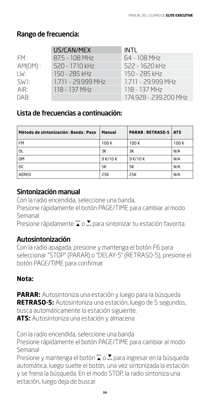#### Rango de frecuencia:

|                   | US/CAN/MEX         | <b>INTL</b>           |
|-------------------|--------------------|-----------------------|
| FM:               | 87.5 - 108 MHz     | 64 - 108 MHz          |
| $AM(OM)$ :        | 520 - 1710 kHz     | 522 - 1620 kHz        |
| LW:               | 150 - 285 kHz      | 150 - 285 kHz         |
| SW <sub>1</sub> : | 1.711 - 29.999 MHz | 1.711 - 29.999 MHz    |
| AIR:              | 118 - 137 MHz      | 118 - 137 MHz         |
| DAB:              |                    | 174.928 - 239.200 MHz |

#### Lista de frecuencias a continuación:

| Método de sintonización   Banda   Paso | Manual   | <b>PARAR   RETRASO-5</b> | <b>ATS</b> |
|----------------------------------------|----------|--------------------------|------------|
| <b>FM</b>                              | 100K     | 100 K                    | 100 K      |
| OL                                     | ЗК       | ЗК                       | N/A        |
| 0M                                     | 9 K/10 K | 9 K/10 K                 | N/A        |
| 0C                                     | 5K       | 5K                       | N/A        |
| AÉREO                                  | 25K      | 25K                      | N/A        |

#### Sintonización manual

Con la radio encendida, seleccione una banda,

Presione rápidamente el botón PAGE/TIME para cambiar al modo Semanal

Presione rápidamente  $\sum_{n=0}^{\infty}$  para sintonizar tu estación favorita.

#### Autosintonización

Con la radio apagada, presione y mantenga el botón F6 para seleccionar "STOP" (PARAR) o "DELAY-5" (RETRASO-5), presione el botón PAGE/TIME para confirmar

#### **Nota:**

**PARAR:** Autosintoniza una estación y luego para la búsqueda **RETRASO-5:** Autosintoniza una estación, luego de 5 segundos, busca automáticamente la estación siguiente. **ATS:** Autosintoniza una estación y almacena

Con la radio encendida, seleccione una banda

Presione rápidamente el botón PAGE/TIME para cambiar al modo Semanal

Presione y mantenga el botón  $\sum_{n=0}^{\infty}$  para ingresar en la búsqueda automática, luego suelte el botón, una vez sintonizada la estación y se frena la búsqueda. En el modo STOP, la radio sintoniza una estación, luego deja de buscar.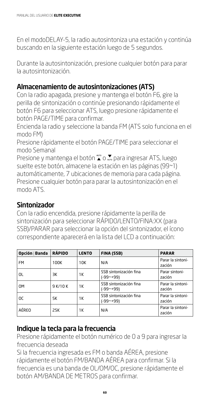En el modoDELAY-5, la radio autosintoniza una estación y continúa buscando en la siguiente estación luego de 5 segundos.

Durante la autosintonización, presione cualquier botón para parar la autosintonización.

#### Almacenamiento de autosintonizaciones (ATS)

Con la radio apagada, presione y mantenga el botón F6, gire la perilla de sintonización o continúe presionando rápidamente el botón F6 para seleccionar ATS, luego presione rápidamente el botón PAGE/TIME para confirmar.

Encienda la radio y seleccione la banda FM (ATS solo funciona en el modo FM)

Presione rápidamente el botón PAGE/TIME para seleccionar el modo Semanal

Presione y mantenga el botón  $\sum_{n=0}^{\infty}$  para ingresar ATS, luego suelte este botón, almacene la estación en las páginas (99~1) automáticamente, 7 ubicaciones de memoria para cada página. Presione cualquier botón para parar la autosintonización en el modo ATS.

#### **Sintonizador**

Con la radio encendida, presione rápidamente la perilla de sintonización para seleccionar RÁPIDO/LENTO/FINA:XX (para SSB)/PARAR para seleccionar la opción del sintonizador, el ícono correspondiente aparecerá en la lista del LCD a continuación:

| Opción   Banda | <b>RÁPIDO</b> | <b>LENTO</b> | FINA (SSB)                               | <b>PARAR</b>                |
|----------------|---------------|--------------|------------------------------------------|-----------------------------|
| <b>FM</b>      | 100K          | 10K          | N/A                                      | Parar la sintoni-<br>zación |
| OL             | ЗК            | 1Κ           | SSB sintonización fina<br>$(-99 - + 99)$ | Parar sintoni-<br>zación    |
| 0M             | 9 K/10 K      | 1Κ           | SSB sintonización fina<br>$(-99 - +99)$  | Parar la sintoni-<br>zación |
| 0C             | 5K            | 1Κ           | SSB sintonización fina<br>$(-99 - + 99)$ | Parar la sintoni-<br>zación |
| AÉREO          | 25K           | 1Κ           | N/A                                      | Parar la sintoni-<br>zación |

#### Indique la tecla para la frecuencia

Presione rápidamente el botón numérico de 0 a 9 para ingresar la frecuencia deseada

Si la frecuencia ingresada es FM o banda AÉREA, presione rápidamente el botón FM/BANDA AÉREA para confirmar. Si la frecuencia es una banda de OL/OM/OC, presione rápidamente el botón AM/BANDA DE METROS para confirmar.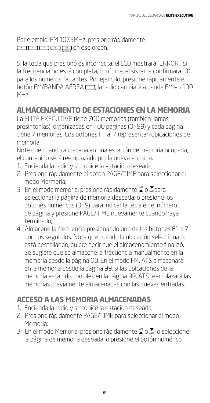Por ejemplo: FM 107.5MHz, presione rápidamente en ese orden.

Si la tecla que presionó es incorrecta, el LCD mostrará "ERROR"; si la frecuencia no está completa, confirme, el sistema confirmará "0" para los numeros faltantes. Por ejemplo, presione rápidamente el botón FM/BANDA AÉREA , la radio cambiará a banda FM en 100 MHz.

### **ALMACENAMIENTO DE ESTACIONES EN LA MEMORIA**

La ELITE EXECUTIVE tiene 700 memorias (también llamas presintonías), organizadas en 100 páginas (0~99) y cada página tiene 7 memorias. Los botones F1 al 7 representan ubicaciones de memoria.

Note que cuando almacena en una estación de memoria ocupada, el contenido será reemplazado por la nueva entrada.

- 1. Encienda la radio y sintonice la estación deseada;
- 2. Presione rápidamente el botón PAGE/TIME para seleccionar el modo Mermoria;
- 3. En el modo memoria, presione rápidamente  $\sum_{n=0}^{\infty}$ o  $\sum_{n=0}^{\infty}$ para seleccionar la página de memoria deseada; o presione los botones numéricos (0~9) para indicar la tecla en el número de página y presione PAGE/TIME nuevamente cuando haya terminado;
- 4. Almacene la frecuencia presionando uno de los botones F1 a 7 por dos segundos. Note que cuando la ubicación seleccionada está destellando, quiere decir que el almacenamiento finalizó. Se sugiere que se almacene la frecuencia manualmente en la memoria desde la página 00. En el modo FM, ATS almacenará en la memoria desde la página 99, si las ubicaciones de la memoria están disponibles en la página 99, ATS reemplazará las memorias previamente almacenadas con las nuevas entradas.

# **ACCESO A LAS MEMORIA ALMACENADAS**

- 1. Encienda la radio y sintonice la estación deseada;
- 2. Presione rápidamente PAGE/TIME para seleccionar el modo Memoria;
- 3. En el modo Memoria, presione rápidamente  $\sum_{n=0}^{\infty}$ o seleccione la página de memoria deseada; o presione el botón numérico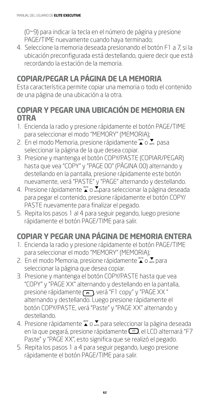(0~9) para indicar la tecla en el número de página y presione PAGE/TIME nuevamente cuando haya terminado;

4. Seleccione la memoria deseada presionando el botón F1 a 7, si la ubicación preconfigurada está destellando, quiere decir que está recordando la estación de la memoria.

### **COPIAR/PEGAR LA PÁGINA DE LA MEMORIA**

Esta característica permite copiar una memoria o todo el contenido de una página de una ubicación a la otra.

#### **COPIAR Y PEGAR UNA UBICACIÓN DE MEMORIA EN OTRA**

- 1. Encienda la radio y presione rápidamente el botón PAGE/TIME para seleccionar el modo "MEMORY" (MEMORIA);
- 2. En el modo Memoria, presione rápidamente  $\sum_{n=0}^{\infty}$  pasa seleccionar la página de la que desea copiar.
- 3. Presione y mantenga el botón COPY/PASTE (COPIAR/PEGAR) hasta que vea "COPY" y "PAGE 00" (PÁGINA 00) alternando y destellando en la pantalla, presione rápidamente este botón nuevamente, verá "PASTE" y "PAGE" alternando y destellando.
- 4. Presione rápidamente  $\sum_{n=0}^{\infty}$  o  $\sum_{n=0}^{\infty}$ para seleccionar la página deseada para pegar el contenido, presione rápidamente el botón COPY/ PASTE nuevamente para finalizar el pegado.
- 5. Repita los pasos 1 al 4 para seguir pegando, luego presione rápidamente el botón PAGE/TIME para salir.

### **COPIAR Y PEGAR UNA PÁGINA DE MEMORIA ENTERA**

- 1. Encienda la radio y presione rápidamente el botón PAGE/TIME para seleccionar el modo "MEMORY" (MEMORIA);
- 2. En el modo Memoria, presione rápidamente  $\sum_{n=0}^{\infty}$  para seleccionar la página que desea copiar.
- 3. Presione y mantenga el botón COPY/PASTE hasta que vea "COPY" y "PAGE XX" alternando y destellando en la pantalla, presione rápidamente <sub>[F1</sub>], verá "F1 copy" y "PAGE XX" alternando y destellando. Luego presione rápidamente el botón COPY/PASTE, verá "Paste" y "PAGE XX" alternando y destellando.
- 4. Presione rápidamente  $\mathbb{T}$  o  $\mathbb{Z}$  para seleccionar la página deseada en la que pegará, presione rápidamente  $\Box$ , el LCD alternará "F7 Paste" y "PAGE XX", esto significa que se realizó el pegado.
- 5. Repita los pasos 1 a 4 para seguir pegando, luego presione rápidamente el botón PAGE/TIME para salir.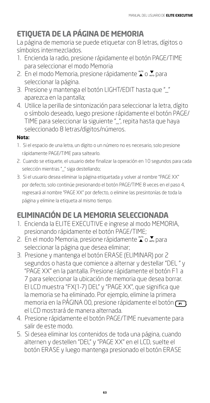### **ETIQUETA DE LA PÁGINA DE MEMORIA**

La página de memoria se puede etiquetar con 8 letras, dígitos o símbolos intermezclados.

- 1. Encienda la radio, presione rápidamente el botón PAGE/TIME para seleccionar el modo Memoria
- 2. En el modo Memoria, presione rápidamente  $\sum_{n=0}^{\infty}$  para seleccionar la página.
- 3. Presione y mantenga el botón LIGHT/EDIT hasta que "\_" aparezca en la pantalla;
- 4. Utilice la perilla de sintonización para seleccionar la letra, dígito o símbolo deseado, luego presione rápidamente el botón PAGE/ TIME para seleccionar la siguiente "\_", repita hasta que haya seleccionado 8 letras/dígitos/números.

#### **Nota:**

- 1. Si el espacio de una letra, un dígito o un número no es necesario, solo presione rápidamente PAGE/TIME para saltearlo.
- 2. Cuando se etiquete, el usuario debe finalizar la operación en 10 segundos para cada selección mientras "\_" siga destellando;
- 3. Si el usuario desea eliminar la página etiquetada y volver al nombre "PAGE XX" por defecto, solo continúe presionando el botón PAGE/TIME 8 veces en el paso 4, regresará al nombre "PAGE XX" por defecto, o elimine las presintonías de toda la página y elimine la etiqueta al mismo tiempo.

### **ELIMINACIÓN DE LA MEMORIA SELECCIONADA**

- 1. Encienda la ELITE EXECUTIVE e ingrese al modo MEMORIA, presionando rápidamente el botón PAGE/TIME;
- 2. En el modo Memoria, presione rápidamente  $\sum_{n=0}^{\infty}$  para seleccionar la página que desea eliminar;
- 3. Presione y mantenga el botón ERASE (ELIMINAR) por 2 segundos o hasta que comience a alternar y destellar "DEL " y "PAGE XX" en la pantalla. Presione rápidamente el botón F1 a 7 para seleccionar la ubicación de memoria que desea borrar. El LCD muestra "FX(1-7) DEL" y "PAGE XX", que significa que la memoria se ha eliminado. Por ejemplo, elimine la primera memoria en la PÁGINA 00, presione rápidamente el botón  $\Gamma$ el LCD mostrará de manera alternada.
- 4. Presione rápidamente el botón PAGE/TIME nuevamente para salir de este modo.
- 5. Si desea eliminar los contenidos de toda una página, cuando alternen y destellen "DEL" y "PAGE XX" en el LCD, suelte el botón ERASE y luego mantenga presionado el botón ERASE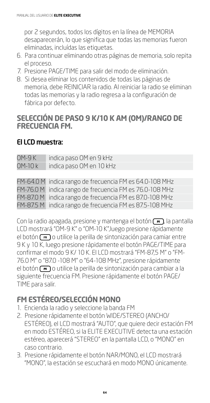por 2 segundos, todos los dígitos en la línea de MEMORIA desaparecerán, lo que significa que todas las memorias fueron eliminadas, incluídas las etiquetas.

- 6. Para continuar eliminando otras páginas de memoria, solo repita el proceso.
- 7. Presione PAGE/TIME para salir del modo de eliminación.
- 8. Si desea eliminar los contenidos de todas las páginas de memoria, debe REINICIAR la radio. Al reiniciar la radio se eliminan todas las memorias y la radio regresa a la configuración de fábrica por defecto.

#### **SELECCIÓN DE PASO 9 K/10 K AM (OM)/RANGO DE FRECUENCIA FM.**

#### El LCD muestra:

| 0M-9 K  | indica paso OM en 9 kHz  |
|---------|--------------------------|
| 0M-10 k | indica paso OM en 10 kHz |

FM-64.0 M indica rango de frecuencia FM es 64.0-108 MHz FM-76.0 M indica rango de frecuencia FM es 76.0-108 MHz FM-87.0 M indica rango de frecuencia FM es 87.0-108 MHz FM-87.5 M indica rango de frecuencia FM es 87.5-108 MHz

Con la radio apagada, presione y mantenga el botón  $\left(\overline{\phantom{a}}\right)$ , la pantalla LCD mostrará "OM-9 K" o "OM-10 K",luego presione rápidamente el botón  $\left(\overline{\phantom{a}}\right)$ o utilice la perilla de sintonización para camiar entre 9 K y 10 K, luego presione rápidamente el botón PAGE/TIME para confirmar el modo 9 K/ 10 K. El LCD mostrará "FM-87,5 M" o "FM-76.0 M" o "87.0 -108 M" o "64-108 MHz", presione rápidamente el botón  $\left(\overline{\phantom{a}}\right)$ o utilice la perilla de sintonización para cambiar a la siguiente frecuencia FM. Presione rápidamente el botón PAGE/ TIME para salir.

### **FM ESTÉREO/SELECCIÓN MONO**

- 1. Encienda la radio y seleccione la banda FM
- 2. Presione rápidamente el botón WIDE/STEREO (ANCHO/ ESTÉREO), el LCD mostrará "AUTO", que quiere decir estación FM en modo ESTÉREO, si la ELITE EXECUTIVE detecta una estación estéreo, aparecerá "STEREO" en la pantalla LCD, o "MONO" en caso contrario.
- 3. Presione rápidamente el botón NAR/MONO, el LCD mostrará "MONO", la estación se escuchará en modo MONO únicamente.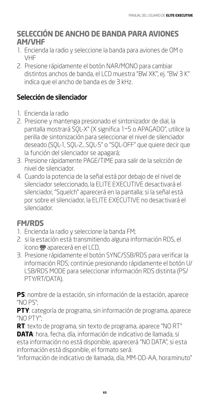#### **SELECCIÓN DE ANCHO DE BANDA PARA AVIONES AM/VHF**

- 1. Encienda la radio y seleccione la banda para aviones de OM o VHF
- 2. Presione rápidamente el botón NAR/MONO para cambiar distintos anchos de banda, el LCD muestra "BW XK", ej. "BW 3 K" indica que el ancho de banda es de 3 kHz.

#### Selección de silenciador

- 1. Encienda la radio
- 2. Presione y mantenga presionado el sintonizador de dial, la pantalla mostrará SQL-X" (X significa 1~5 o APAGADO", utilice la perilla de sintonización para seleccionar el nivel de silenciador deseado (SQL-1, SQL-2,..SQL-5" o "SQL-OFF" que quiere decir que la función del silenciador se apagará;
- 3. Presione rápidamente PAGE/TIME para salir de la selcción de nivel de silenciador.
- 4. Cuando la potencia de la señal está por debajo de el nivel de silenciador seleccionado, la ELITE EXECUTIVE desactivará el silenciador, "Squelch" aparecerá en la pantalla; si la señal está por sobre el silenciador, la ELITE EXECUTIVE no desactivará el silenciador.

### **FM/RDS**

- 1. Encienda la radio y seleccione la banda FM;
- 2. si la estación está transmitiendo alguna información RDS, el ícono **o** aparecerá en el LCD,
- 3. Presione rápidamente el botón SYNC/SSB/RDS para verificar la información RDS; continúe presionando rápidamente el botón U/ LSB/RDS MODE para seleccionar información RDS distinta (PS/ PTY/RT/DATA).

**PS**: nombre de la estación, sin información de la estación, aparece "NO PS";

**PTY**: categoría de programa, sin información de programa, aparece "NO PTY";

**RT**: texto de programa, sin texto de programa, aparece "NO RT" **DATA**: hora, fecha, día, información de indicativo de llamada, si esta información no está disponible, aparecerá "NO DATA", si esta información está disponible, el formato será:

"información de indicativo de llamada, día, MM-DD-AA, hora:minuto"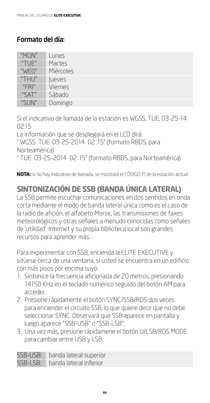#### Formato del día:

| "MON" | Lunes          |
|-------|----------------|
| "TUE" | Martes         |
| "WED" | Miércoles      |
| "THU" | <b>lueves</b>  |
| "FR"  | <b>Viernes</b> |
| "SAT" | Sábado         |
| "SUN" | Domingo        |

Si el indicativo de llamada de la estación es WGSS, TUE, 03-25-14 02:15

La información que se desplegará en el LCD dirá: " WGSS TUE 03-25-2014 02 :15" (formato RBDS, para Norteamérica) " TUE 03-25-2014 02 :15" (formato RBDS, para Norteamérica)

**NOTA:** si no hay indicativo de llamada, se mostrará el CÓDIGO PI de la estación actual

### **SINTONIZACIÓN DE SSB (BANDA ÚNICA LATERAL)**

La SSB permite escuchar comunicaciones en dos sentidos en onda corta mediante el modo de banda lateral única como es el caso de la radio de afición, el alfabeto Morse, las transmisiones de faxes meteorológicos y otras señales a menudo conocidas como señales de 'utilidad'. Internet y su propia biblioteca local son grandes recursos para aprender más.

Para experimentar con SSB, encienda la ELITE EXECUTIVE y sitúese cerca de una ventana, si usted se encuentra en un edificio con más pisos por encima suyo.

- 1. Sintonice la frecuencia aficionada de 20 metros, presionando 14150 KHz en el teclado numérico seguido del botón AM para acceder.
- 2. Presione rápidamente el botón SYNC/SSB/RDS dos veces para enciender el circuito SSB, lo que quiere decir que no debe seleccionar SYNC. Observará que SSB aparece en pantalla y luego aparece "SSB-USB" o "SSB-LSB";
- 3. Una vez más, presione rápidamene el botón U/LSB/RDS MODE para cambiar entre USB y LSB.

SSB-USB: banda lateral superior

SSB-LSB: banda lateral inferior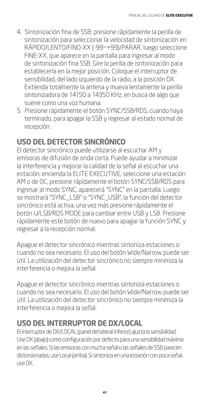- 4. Sintonización fina de SSB: presione rápidamente la perilla de sintonización para seleccionar la velocidad de sintonización en RÁPIDO/LENTO/FINO-XX (-99~+99)/PARAR, luego seleccione FINE-XX, que aparece en la pantalla para ingresar al modo de sintonización fina SSB. Gire la perilla de isntonización para establecerla en la mejor posición. Coloque el interruptor de sensibilidad, del lado izquierdo de la radio, a la posición DX. Extienda totalmente la antena y mueva lentamente la perilla sintonizadora de 14150 a 14350 KHz, en busca de algo que suene como una voz humana.
- 5. Presione rápidamente el botón SYNC/SSB/RDS, cuando haya terminado, para apagar la SSB y regresar al estado normal de recepción.

### **USO DEL DETECTOR SINCRÓNICO**

El detector sincrónico puede utilizarse al escuchar AM y emisoras de difusión de onda corta. Puede ayudar a minimizar la interferencia y mejorar la calidad de la señal al escuchar una estación, encienda la ELITE EXECUTIVE, seleccione una estación AM o de OC, presione rápidamente el botón SYNC/SSB/RDS para ingresar al modo SYNC, aparecerá "SYNC" en la pantalla. Luego se mostrará "SYNC\_LSB" o "SYNC\_USB", la función del detector sincrónico está activa, una vez más presione rápidamente el botón U/LSB/RDS MODE para cambiar entre USB y LSB. Presione rápidamente este botón de nuevo para apagar la función SYNC y regresar a la recepción normal.

Apague el detector sincrónico mientras sintoniza estaciones o cuando no sea necesario. El uso del botón Wide/Narrow puede ser útil. La utilización del detector sincrónico no siempre minimiza la interferencia o mejora la señal.

Apague el detector sincrónico mientras sintoniza estaciones o cuando no sea necesario. El uso del botón Wide/Narrow puede ser útil. La utilización del detector sincrónico no siempre minimiza la interferencia o mejora la señal.

### **USO DEL INTERRUPTOR DE DX/LOCAL**

El interruptor de DX/LOCAL (panel del lateral inferior) ajusta la sensibilidad. Use DX (abajo) como configuración por defecto para una sensibilidad máxima en las señales. Si las emisoras con mucha señal o las señales de SSB parecen distorsionadas, use Local (arriba). Si sintoniza en una estación con poca señal, use DX.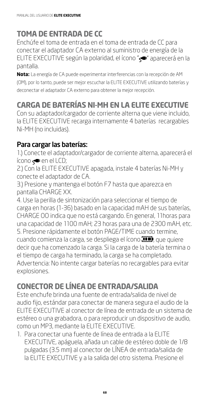### **TOMA DE ENTRADA DE CC**

Enchúfe el toma de entrada en el toma de entrada de CC para conectar el adaptador CA externo al suministro de energía de la ELITE EXECUTIVE según la polaridad, el ícono "<" aparecerá en la pantalla.

**Nota:** La energía de CA puede experimentar interferencias con la recepción de AM (OM), por lo tanto, puede ser mejor escuchar la ELITE EXECUTIVE utilizando baterías y deconectar el adaptador CA externo para obtener la mejor recepción.

### **CARGA DE BATERÍAS NI-MH EN LA ELITE EXECUTIVE**

Con su adaptador/cargador de corriente alterna que viene incluido, la ELITE EXECUTIVE recarga internamente 4 baterías recargables Ni-MH (no incluidas).

#### Para cargar las baterías:

1.) Conecte el adaptador/cargador de corriente alterna, aparecerá el ícono  $\Leftarrow$  en el LCD;

2.) Con la ELITE EXECUTIVE apagada, instale 4 baterías Ni-MH y conecte el adaptador de CA.

3.) Presione y mantenga el botón F7 hasta que aparezca en pantalla CHARGE XX.

4. Use la perilla de sintonización para seleccionar el tiempo de carga en horas (1-36) basado en la capacidad mAH de sus baterías, CHARGE OO indica que no está cargando. En general, 11horas para una capacidad de 1100 mAH; 23 horas para una de 2300 mAH, etc. 5. Presione rápidamente el botón PAGE/TIME cuando termine, cuando comienza la carga, se despliega el ícono **. III**, que quiere decir que ha comenzado la carga. Si la carga de la batería termina o el tiempo de carga ha terminado, la carga se ha completado. Advertencia: No intente cargar baterías no recargables para evitar explosiones.

### **CONECTOR DE LÍNEA DE ENTRADA/SALIDA**

Este enchufe brinda una fuente de entrada/salida de nivel de audio fijo, estándar para conectar de manera segura el audio de la ELITE EXECUTIVE al conector de línea de entrada de un sistema de estéreo o una grabadora, o para reproducir un dispositivo de audio, como un MP3, mediante la ELITE EXECUTIVE.

1. Para conectar una fuente de línea de entrada a la ELITE EXECUTIVE, apáguela, añada un cable de estéreo doble de 1/8 pulgadas (3.5 mm) al conector de LÍNEA de entrada/salida de la ELITE EXECUTIVE y a la salida del otro sistema. Presione el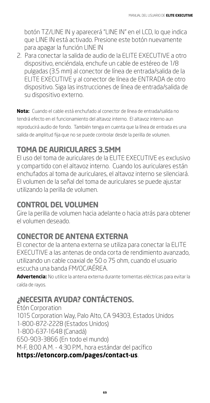botón TZ/LINE IN y aparecerá "LINE IN" en el LCD, lo que indica que LINE IN está activado. Presione este botón nuevamente para apagar la función LINE IN

2. Para conectar la salida de audio de la ELITE EXECUTIVE a otro dispositivo, enciéndala, enchufe un cable de estéreo de 1/8 pulgadas (3.5 mm) al conector de línea de entrada/salida de la ELITE EXECUTIVE y al conector de línea de ENTRADA de otro dispositivo. Siga las instrucciones de línea de entrada/salida de su dispositivo externo.

**Nota:** Cuando el cable está enchufado al conector de línea de entrada/salida no tendrá efecto en el funcionamiento del altavoz interno. El altavoz interno aun reproducirá audio de fondo. También tenga en cuenta que la línea de entrada es una salida de amplitud fija que no se puede controlar desde la perilla de volumen.

### **TOMA DE AURICULARES 3.5MM**

El uso del toma de auriculares de la ELITE EXECUTIVE es exclusivo y compartido con el altavoz interno. Cuando los auriculares están enchufados al toma de auriculares, el altavoz interno se silenciará. El volumen de la señal del toma de auriculares se puede ajustar utilizando la perilla de volumen.

### **CONTROL DEL VOLUMEN**

Gire la perilla de volumen hacia adelante o hacia atrás para obtener el volumen deseado.

### **CONECTOR DE ANTENA EXTERNA**

El conector de la antena externa se utiliza para conectar la ELITE EXECUTIVE a las antenas de onda corta de rendimiento avanzado, utilizando un cable coaxial de 50 o 75 ohm, cuando el usuario escucha una banda FM/OC/AÉREA.

**Advertencia:** No utilice la antena externa durante tormentas eléctricas para evitar la caída de rayos.

### **¿NECESITA AYUDA? CONTÁCTENOS.**

Etón Corporation 1015 Corporation Way, Palo Alto, CA 94303, Estados Unidos 1-800-872-2228 (Estados Unidos) 1-800-637-1648 (Canadá) 650-903-3866 (En todo el mundo) M-F, 8:00 A.M. - 4:30 P.M., hora estándar del pacífico **https://etoncorp.com/pages/contact-us**.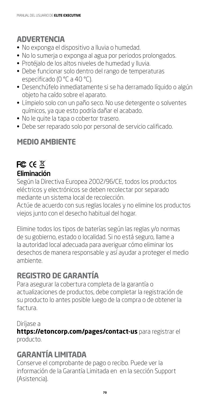### **ADVERTENCIA**

- No exponga el dispositivo a lluvia o humedad.
- No lo sumerja o exponga al agua por periodos prolongados.
- Protéjalo de los altos niveles de humedad y lluvia.
- Debe funcionar solo dentro del rango de temperaturas especificado (0 °C a 40 °C).
- Desenchúfelo inmediatamente si se ha derramado líquido o algún objeto ha caído sobre el aparato.
- Límpielo solo con un paño seco. No use detergente o solventes químicos, ya que esto podría dañar el acabado.
- No le quite la tapa o cobertor trasero.
- Debe ser reparado solo por personal de servicio calificado.

### **MEDIO AMBIENTE**

### FC  $CE \times$ Eliminación

Según la Directiva Europea 2002/96/CE, todos los productos eléctricos y electrónicos se deben recolectar por separado mediante un sistema local de recolección.

Actúe de acuerdo con sus reglas locales y no elimine los productos viejos junto con el desecho habitual del hogar.

Elimine todos los tipos de baterías según las reglas y/o normas de su gobierno, estado o localidad. Si no está seguro, llame a la autoridad local adecuada para averiguar cómo eliminar los desechos de manera responsable y así ayudar a proteger el medio ambiente.

### **REGISTRO DE GARANTÍA**

Para asegurar la cobertura completa de la garantía o actualizaciones de productos, debe completar la registración de su producto lo antes posible luego de la compra o de obtener la factura.

#### Diríjase a

**https://etoncorp.com/pages/contact-us** para registrar el producto.

### **GARANTÍA LIMITADA**

Conserve el comprobante de pago o recibo. Puede ver la información de la Garantía Limitada en en la sección Support (Asistencia).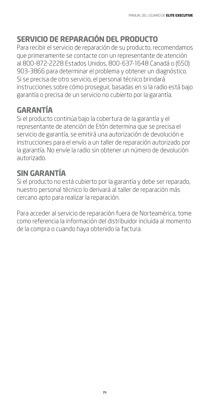# **SERVICIO DE REPARACIÓN DEL PRODUCTO**

Para recibir el servicio de reparación de su producto, recomendamos que primeramente se contacte con un representante de atención al 800-872-2228 Estados Unidos, 800-637-1648 Canadá o (650) 903-3866 para determinar el problema y obtener un diagnóstico. Si se precisa de otro servicio, el personal técnico brindará instrucciones sobre cómo proseguir, basadas en si la radio está bajo garantía o precisa de un servicio no cubierto por la garantía.

### **GARANTÍA**

Si el producto continúa bajo la cobertura de la garantía y el representante de atención de Etón determina que se precisa el servicio de garantía, se emitirá una autorización de devolución e instrucciones para el envío a un taller de reparación autorizado por la garantía. No envíe la radio sin obtener un número de devolución autorizado.

### **SIN GARANTÍA**

Si el producto no está cubierto por la garantía y debe ser reparado, nuestro personal técnico lo derivará al taller de reparación más cercano apto para realizar la reparación.

Para acceder al servicio de reparación fuera de Norteamérica, tome como referencia la información del distribuidor incluida al momento de la compra o cuando haya obtenido la factura.